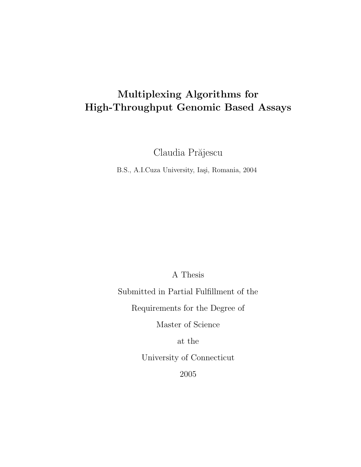### Multiplexing Algorithms for High-Throughput Genomic Based Assays

Claudia Prăjescu

B.S., A.I.Cuza University, Iaşi, Romania, 2004

A Thesis

Submitted in Partial Fulfillment of the

Requirements for the Degree of

Master of Science

at the

University of Connecticut

2005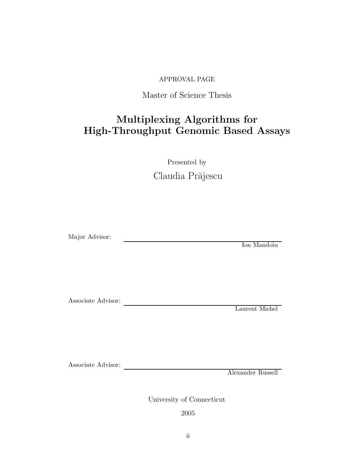### APPROVAL PAGE

### Master of Science Thesis

### Multiplexing Algorithms for High-Throughput Genomic Based Assays

Presented by Claudia Prăjescu

<u> 1980 - Johann Barn, mars eta bainar eta baina eta baina eta baina eta baina eta baina eta baina eta baina e</u>

Major Advisor:

Ion Mandoiu

Associate Advisor:

Laurent Michel

Associate Advisor:

Alexander Russell

University of Connecticut

2005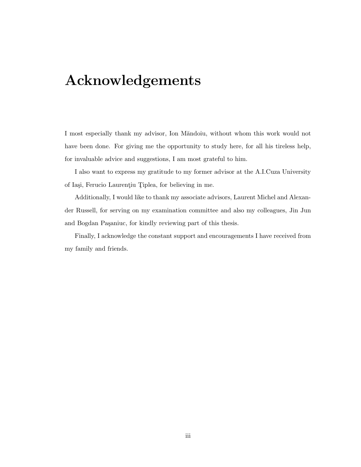## Acknowledgements

I most especially thank my advisor, Ion Măndoiu, without whom this work would not have been done. For giving me the opportunity to study here, for all his tireless help, for invaluable advice and suggestions, I am most grateful to him.

I also want to express my gratitude to my former advisor at the A.I.Cuza University of Iași, Ferucio Laurențiu Țiplea, for believing in me.

Additionally, I would like to thank my associate advisors, Laurent Michel and Alexander Russell, for serving on my examination committee and also my colleagues, Jin Jun and Bogdan Paşaniuc, for kindly reviewing part of this thesis.

Finally, I acknowledge the constant support and encouragements I have received from my family and friends.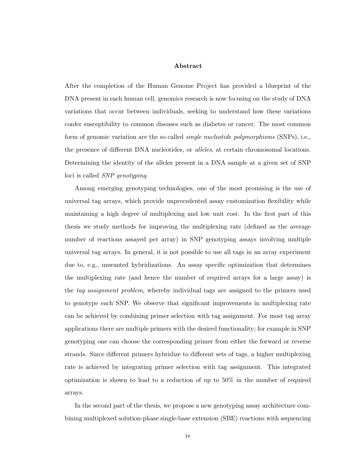### Abstract

After the completion of the Human Genome Project has provided a blueprint of the DNA present in each human cell, genomics research is now focusing on the study of DNA variations that occur between individuals, seeking to understand how these variations confer susceptibility to common diseases such as diabetes or cancer. The most common form of genomic variation are the so called *single nucleotide polymorphisms* (SNPs), i.e., the presence of different DNA nucleotides, or alleles, at certain chromosomal locations. Determining the identity of the alleles present in a DNA sample at a given set of SNP loci is called SNP genotyping.

Among emerging genotyping technologies, one of the most promising is the use of universal tag arrays, which provide unprecedented assay customization flexibility while maintaining a high degree of multiplexing and low unit cost. In the first part of this thesis we study methods for improving the multiplexing rate (defined as the average number of reactions assayed per array) in SNP genotyping assays involving multiple universal tag arrays. In general, it is not possible to use all tags in an array experiment due to, e.g., unwanted hybridizations. An assay specific optimization that determines the multiplexing rate (and hence the number of required arrays for a large assay) is the tag assignment problem, whereby individual tags are assigned to the primers used to genotype each SNP. We observe that significant improvements in multiplexing rate can be achieved by combining primer selection with tag assignment. For most tag array applications there are multiple primers with the desired functionality; for example in SNP genotyping one can choose the corresponding primer from either the forward or reverse strands. Since different primers hybridize to different sets of tags, a higher multiplexing rate is achieved by integrating primer selection with tag assignment. This integrated optimization is shown to lead to a reduction of up to 50% in the number of required arrays.

In the second part of the thesis, we propose a new genotyping assay architecture combining multiplexed solution-phase single-base extension (SBE) reactions with sequencing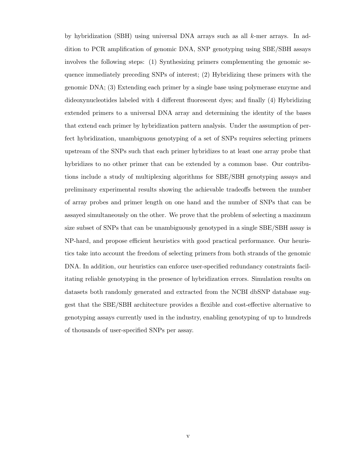by hybridization (SBH) using universal DNA arrays such as all k-mer arrays. In addition to PCR amplification of genomic DNA, SNP genotyping using SBE/SBH assays involves the following steps: (1) Synthesizing primers complementing the genomic sequence immediately preceding SNPs of interest; (2) Hybridizing these primers with the genomic DNA; (3) Extending each primer by a single base using polymerase enzyme and dideoxynucleotides labeled with 4 different fluorescent dyes; and finally (4) Hybridizing extended primers to a universal DNA array and determining the identity of the bases that extend each primer by hybridization pattern analysis. Under the assumption of perfect hybridization, unambiguous genotyping of a set of SNPs requires selecting primers upstream of the SNPs such that each primer hybridizes to at least one array probe that hybridizes to no other primer that can be extended by a common base. Our contributions include a study of multiplexing algorithms for SBE/SBH genotyping assays and preliminary experimental results showing the achievable tradeoffs between the number of array probes and primer length on one hand and the number of SNPs that can be assayed simultaneously on the other. We prove that the problem of selecting a maximum size subset of SNPs that can be unambiguously genotyped in a single SBE/SBH assay is NP-hard, and propose efficient heuristics with good practical performance. Our heuristics take into account the freedom of selecting primers from both strands of the genomic DNA. In addition, our heuristics can enforce user-specified redundancy constraints facilitating reliable genotyping in the presence of hybridization errors. Simulation results on datasets both randomly generated and extracted from the NCBI dbSNP database suggest that the SBE/SBH architecture provides a flexible and cost-effective alternative to genotyping assays currently used in the industry, enabling genotyping of up to hundreds of thousands of user-specified SNPs per assay.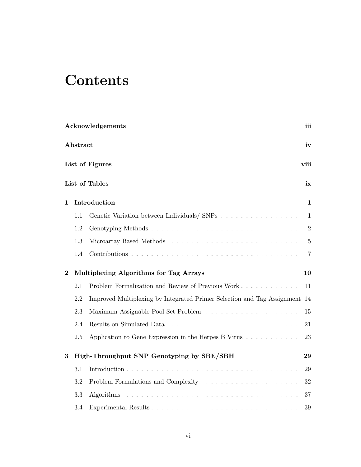# **Contents**

|              |          | Acknowledgements                                                           | iii            |
|--------------|----------|----------------------------------------------------------------------------|----------------|
|              | Abstract |                                                                            | iv             |
|              |          | List of Figures                                                            | viii           |
|              |          | List of Tables                                                             | ix             |
| $\mathbf{1}$ |          | Introduction                                                               | 1              |
|              | 1.1      |                                                                            | $\mathbf{1}$   |
|              | 1.2      |                                                                            | $\overline{2}$ |
|              | 1.3      |                                                                            | $\bf 5$        |
|              | 1.4      |                                                                            | $\overline{7}$ |
| $\bf{2}$     |          | Multiplexing Algorithms for Tag Arrays                                     | 10             |
|              | 2.1      | Problem Formalization and Review of Previous Work                          | 11             |
|              | 2.2      | Improved Multiplexing by Integrated Primer Selection and Tag Assignment 14 |                |
|              | 2.3      |                                                                            | 15             |
|              | 2.4      | Results on Simulated Data                                                  | 21             |
|              | 2.5      | Application to Gene Expression in the Herpes B Virus                       | 23             |
| 3            |          | High-Throughput SNP Genotyping by SBE/SBH                                  | 29             |
|              | 3.1      |                                                                            | 29             |
|              | 3.2      |                                                                            | 32             |
|              | 3.3      |                                                                            | 37             |
|              | 3.4      |                                                                            | 39             |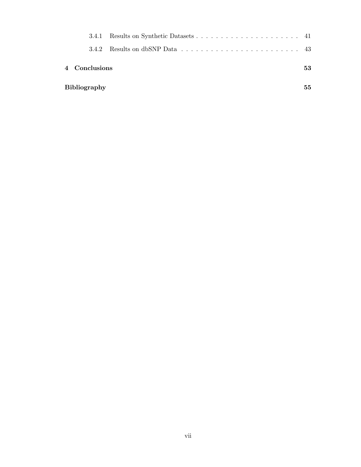| 342                 |    |
|---------------------|----|
| 4 Conclusions       | 53 |
| <b>Bibliography</b> | 55 |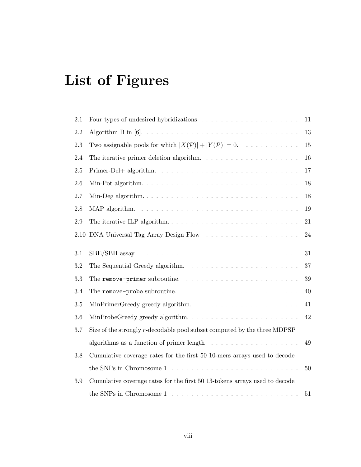# List of Figures

| 2.1     |                                                                                               | 11     |
|---------|-----------------------------------------------------------------------------------------------|--------|
| 2.2     |                                                                                               | 13     |
| 2.3     | Two assignable pools for which $ X(\mathcal{P})  +  Y(\mathcal{P})  = 0$ .                    | $15\,$ |
| 2.4     | The iterative primer deletion algorithm. $\ldots \ldots \ldots \ldots \ldots \ldots$          | 16     |
| 2.5     |                                                                                               | 17     |
| 2.6     |                                                                                               | 18     |
| 2.7     |                                                                                               | 18     |
| 2.8     |                                                                                               | 19     |
| $2.9\,$ | The iterative ILP algorithm. $\ldots \ldots \ldots \ldots \ldots \ldots \ldots \ldots \ldots$ | 21     |
| 2.10    |                                                                                               | 24     |
| $3.1\,$ |                                                                                               | 31     |
| 3.2     |                                                                                               | 37     |
| 3.3     | The remove-primer subroutine. $\ldots \ldots \ldots \ldots \ldots \ldots \ldots$              | $39\,$ |
| 3.4     | The remove-probe subroutine. $\ldots \ldots \ldots \ldots \ldots \ldots \ldots \ldots$        | 40     |
| 3.5     |                                                                                               | 41     |
| 3.6     | MinProbeGreedy greedy algorithm                                                               | 42     |
| 3.7     | Size of the strongly r-decodable pool subset computed by the three MDPSP                      |        |
|         | algorithms as a function of primer length $\dots \dots \dots \dots \dots \dots$               | 49     |
| $3.8\,$ | Cumulative coverage rates for the first 50 10-mers arrays used to decode                      |        |
|         | the SNPs in Chromosome $1 \ldots \ldots \ldots \ldots \ldots \ldots \ldots \ldots$            | 50     |
| 3.9     | Cumulative coverage rates for the first 50 13-tokens arrays used to decode                    |        |
|         | the SNPs in Chromosome $1, \ldots, \ldots, \ldots, \ldots, \ldots, \ldots, \ldots, \ldots$    | 51     |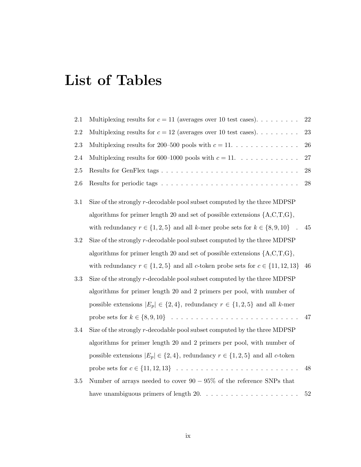## List of Tables

| 2.1       | Multiplexing results for $c = 11$ (averages over 10 test cases)                                         | 22     |
|-----------|---------------------------------------------------------------------------------------------------------|--------|
| $2.2\,$   | Multiplexing results for $c = 12$ (averages over 10 test cases).                                        | 23     |
| 2.3       | Multiplexing results for 200–500 pools with $c = 11$                                                    | 26     |
| 2.4       | Multiplexing results for 600–1000 pools with $c = 11$                                                   | $27\,$ |
| $2.5\,$   |                                                                                                         | 28     |
| $2.6\,$   |                                                                                                         | 28     |
| 3.1       | Size of the strongly r-decodable pool subset computed by the three MDPSP                                |        |
|           | algorithms for primer length 20 and set of possible extensions $\{A, C, T, G\}$ ,                       |        |
|           | with redundancy $r \in \{1, 2, 5\}$ and all k-mer probe sets for $k \in \{8, 9, 10\}$<br>$\mathbb{R}^2$ | 45     |
| $\!3.2\!$ | Size of the strongly r-decodable pool subset computed by the three MDPSP                                |        |
|           | algorithms for primer length 20 and set of possible extensions $\{A, C, T, G\}$ ,                       |        |
|           | with redundancy $r \in \{1, 2, 5\}$ and all c-token probe sets for $c \in \{11, 12, 13\}$               | 46     |
| 3.3       | Size of the strongly r-decodable pool subset computed by the three MDPSP                                |        |
|           | algorithms for primer length 20 and 2 primers per pool, with number of                                  |        |
|           | possible extensions $ E_p  \in \{2, 4\}$ , redundancy $r \in \{1, 2, 5\}$ and all k-mer                 |        |
|           |                                                                                                         | 47     |
| 3.4       | Size of the strongly r-decodable pool subset computed by the three MDPSP                                |        |
|           | algorithms for primer length 20 and 2 primers per pool, with number of                                  |        |
|           | possible extensions $ E_p  \in \{2, 4\}$ , redundancy $r \in \{1, 2, 5\}$ and all c-token               |        |
|           |                                                                                                         | 48     |
| $3.5\,$   | Number of arrays needed to cover $90-95\%$ of the reference SNPs that                                   |        |
|           | have unambiguous primers of length $20. \ldots \ldots \ldots \ldots \ldots \ldots$                      | 52     |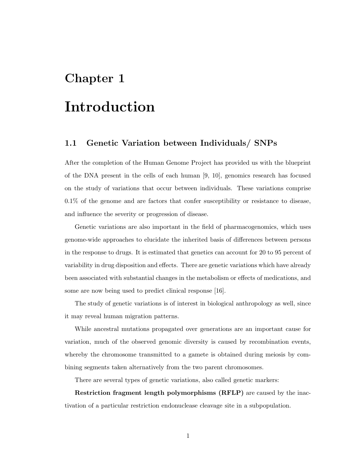### Chapter 1

## Introduction

### 1.1 Genetic Variation between Individuals/ SNPs

After the completion of the Human Genome Project has provided us with the blueprint of the DNA present in the cells of each human [9, 10], genomics research has focused on the study of variations that occur between individuals. These variations comprise 0.1% of the genome and are factors that confer susceptibility or resistance to disease, and influence the severity or progression of disease.

Genetic variations are also important in the field of pharmacogenomics, which uses genome-wide approaches to elucidate the inherited basis of differences between persons in the response to drugs. It is estimated that genetics can account for 20 to 95 percent of variability in drug disposition and effects. There are genetic variations which have already been associated with substantial changes in the metabolism or effects of medications, and some are now being used to predict clinical response [16].

The study of genetic variations is of interest in biological anthropology as well, since it may reveal human migration patterns.

While ancestral mutations propagated over generations are an important cause for variation, much of the observed genomic diversity is caused by recombination events, whereby the chromosome transmitted to a gamete is obtained during meiosis by combining segments taken alternatively from the two parent chromosomes.

There are several types of genetic variations, also called genetic markers:

Restriction fragment length polymorphisms (RFLP) are caused by the inactivation of a particular restriction endonuclease cleavage site in a subpopulation.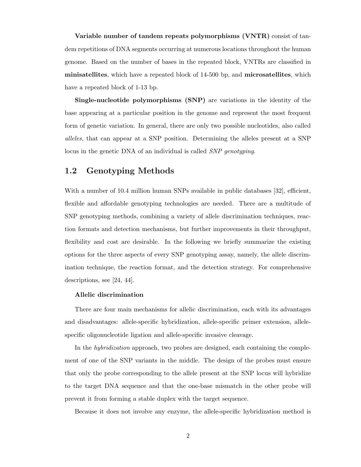Variable number of tandem repeats polymorphisms (VNTR) consist of tandem repetitions of DNA segments occurring at numerous locations throughout the human genome. Based on the number of bases in the repeated block, VNTRs are classified in minisatellites, which have a repeated block of 14-500 bp, and microsatellites, which have a repeated block of 1-13 bp.

Single-nucleotide polymorphisms (SNP) are variations in the identity of the base appearing at a particular position in the genome and represent the most frequent form of genetic variation. In general, there are only two possible nucleotides, also called alleles, that can appear at a SNP position. Determining the alleles present at a SNP locus in the genetic DNA of an individual is called SNP genotyping.

### 1.2 Genotyping Methods

With a number of 10.4 million human SNPs available in public databases [32], efficient, flexible and affordable genotyping technologies are needed. There are a multitude of SNP genotyping methods, combining a variety of allele discrimination techniques, reaction formats and detection mechanisms, but further improvements in their throughput, flexibility and cost are desirable. In the following we briefly summarize the existing options for the three aspects of every SNP genotyping assay, namely, the allele discrimination technique, the reaction format, and the detection strategy. For comprehensive descriptions, see [24, 44].

### Allelic discrimination

There are four main mechanisms for allelic discrimination, each with its advantages and disadvantages: allele-specific hybridization, allele-specific primer extension, allelespecific oligonucleotide ligation and allele-specific invasive cleavage.

In the *hybridization* approach, two probes are designed, each containing the complement of one of the SNP variants in the middle. The design of the probes must ensure that only the probe corresponding to the allele present at the SNP locus will hybridize to the target DNA sequence and that the one-base mismatch in the other probe will prevent it from forming a stable duplex with the target sequence.

Because it does not involve any enzyme, the allele-specific hybridization method is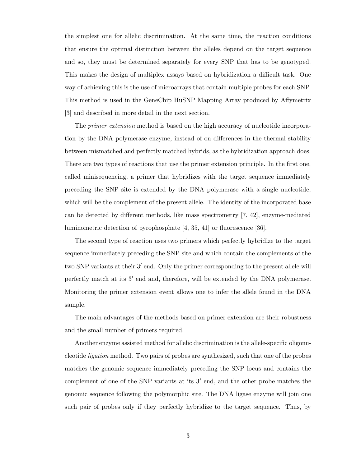the simplest one for allelic discrimination. At the same time, the reaction conditions that ensure the optimal distinction between the alleles depend on the target sequence and so, they must be determined separately for every SNP that has to be genotyped. This makes the design of multiplex assays based on hybridization a difficult task. One way of achieving this is the use of microarrays that contain multiple probes for each SNP. This method is used in the GeneChip HuSNP Mapping Array produced by Affymetrix [3] and described in more detail in the next section.

The *primer extension* method is based on the high accuracy of nucleotide incorporation by the DNA polymerase enzyme, instead of on differences in the thermal stability between mismatched and perfectly matched hybrids, as the hybridization approach does. There are two types of reactions that use the primer extension principle. In the first one, called minisequencing, a primer that hybridizes with the target sequence immediately preceding the SNP site is extended by the DNA polymerase with a single nucleotide, which will be the complement of the present allele. The identity of the incorporated base can be detected by different methods, like mass spectrometry [7, 42], enzyme-mediated luminometric detection of pyrophosphate [4, 35, 41] or fluorescence [36].

The second type of reaction uses two primers which perfectly hybridize to the target sequence immediately preceding the SNP site and which contain the complements of the two SNP variants at their  $3'$  end. Only the primer corresponding to the present allele will perfectly match at its 3' end and, therefore, will be extended by the DNA polymerase. Monitoring the primer extension event allows one to infer the allele found in the DNA sample.

The main advantages of the methods based on primer extension are their robustness and the small number of primers required.

Another enzyme assisted method for allelic discrimination is the allele-specific oligonucleotide ligation method. Two pairs of probes are synthesized, such that one of the probes matches the genomic sequence immediately preceding the SNP locus and contains the complement of one of the SNP variants at its  $3'$  end, and the other probe matches the genomic sequence following the polymorphic site. The DNA ligase enzyme will join one such pair of probes only if they perfectly hybridize to the target sequence. Thus, by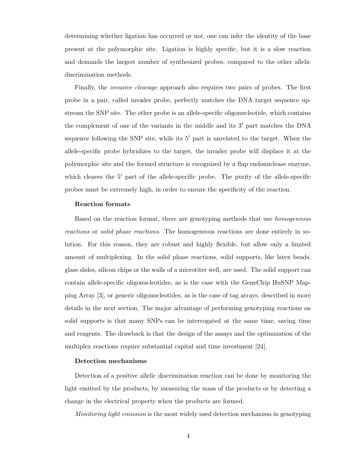determining whether ligation has occurred or not, one can infer the identity of the base present at the polymorphic site. Ligation is highly specific, but it is a slow reaction and demands the largest number of synthesized probes, compared to the other allelic discrimination methods.

Finally, the invasive cleavage approach also requires two pairs of probes. The first probe in a pair, called invader probe, perfectly matches the DNA target sequence upstream the SNP site. The other probe is an allele-specific oligonucleotide, which contains the complement of one of the variants in the middle and its  $3'$  part matches the DNA sequence following the SNP site, while its  $5'$  part is unrelated to the target. When the allele-specific probe hybridizes to the target, the invader probe will displace it at the polymorphic site and the formed structure is recognized by a flap endonuclease enzyme, which cleaves the  $5'$  part of the allele-specific probe. The purity of the allele-specific probes must be extremely high, in order to ensure the specificity of the reaction.

#### Reaction formats

Based on the reaction format, there are genotyping methods that use homogeneous reactions or solid phase reactions. The homogeneous reactions are done entirely in solution. For this reason, they are robust and highly flexible, but allow only a limited amount of multiplexing. In the solid phase reactions, solid supports, like latex beads, glass slides, silicon chips or the walls of a microtiter well, are used. The solid support can contain allele-specific oligonucleotides, as is the case with the GeneChip HuSNP Mapping Array [3], or generic oligonucleotides, as is the case of tag arrays, described in more details in the next section. The major advantage of performing genotyping reactions on solid supports is that many SNPs can be interrogated at the same time, saving time and reagents. The drawback is that the design of the assays and the optimization of the multiplex reactions require substantial capital and time investment [24].

#### Detection mechanisms

Detection of a positive allelic discrimination reaction can be done by monitoring the light emitted by the products, by measuring the mass of the products or by detecting a change in the electrical property when the products are formed.

Monitoring light emission is the most widely used detection mechanism in genotyping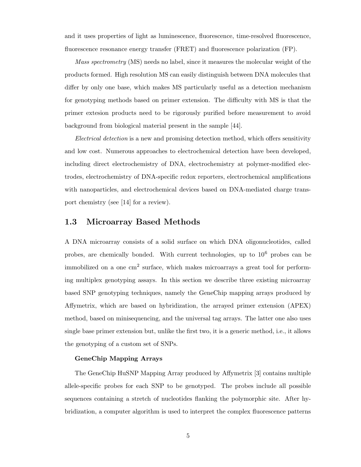and it uses properties of light as luminescence, fluorescence, time-resolved fluorescence, fluorescence resonance energy transfer (FRET) and fluorescence polarization (FP).

Mass spectrometry (MS) needs no label, since it measures the molecular weight of the products formed. High resolution MS can easily distinguish between DNA molecules that differ by only one base, which makes MS particularly useful as a detection mechanism for genotyping methods based on primer extension. The difficulty with MS is that the primer extesion products need to be rigorously purified before measurement to avoid background from biological material present in the sample [44].

Electrical detection is a new and promising detection method, which offers sensitivity and low cost. Numerous approaches to electrochemical detection have been developed, including direct electrochemistry of DNA, electrochemistry at polymer-modified electrodes, electrochemistry of DNA-specific redox reporters, electrochemical amplifications with nanoparticles, and electrochemical devices based on DNA-mediated charge transport chemistry (see [14] for a review).

### 1.3 Microarray Based Methods

A DNA microarray consists of a solid surface on which DNA oligonucleotides, called probes, are chemically bonded. With current technologies, up to  $10^6$  probes can be immobilized on a one cm<sup>2</sup> surface, which makes microarrays a great tool for performing multiplex genotyping assays. In this section we describe three existing microarray based SNP genotyping techniques, namely the GeneChip mapping arrays produced by Affymetrix, which are based on hybridization, the arrayed primer extension (APEX) method, based on minisequencing, and the universal tag arrays. The latter one also uses single base primer extension but, unlike the first two, it is a generic method, i.e., it allows the genotyping of a custom set of SNPs.

### GeneChip Mapping Arrays

The GeneChip HuSNP Mapping Array produced by Affymetrix [3] contains multiple allele-specific probes for each SNP to be genotyped. The probes include all possible sequences containing a stretch of nucleotides flanking the polymorphic site. After hybridization, a computer algorithm is used to interpret the complex fluorescence patterns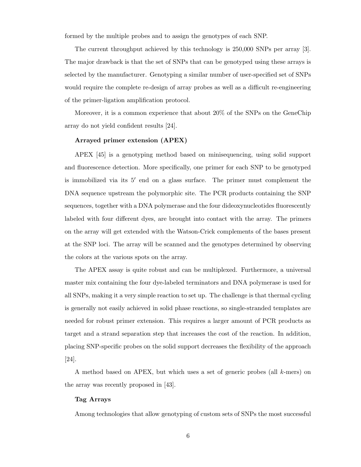formed by the multiple probes and to assign the genotypes of each SNP.

The current throughput achieved by this technology is 250,000 SNPs per array [3]. The major drawback is that the set of SNPs that can be genotyped using these arrays is selected by the manufacturer. Genotyping a similar number of user-specified set of SNPs would require the complete re-design of array probes as well as a difficult re-engineering of the primer-ligation amplification protocol.

Moreover, it is a common experience that about 20% of the SNPs on the GeneChip array do not yield confident results [24].

#### Arrayed primer extension (APEX)

APEX [45] is a genotyping method based on minisequencing, using solid support and fluorescence detection. More specifically, one primer for each SNP to be genotyped is immobilized via its  $5'$  end on a glass surface. The primer must complement the DNA sequence upstream the polymorphic site. The PCR products containing the SNP sequences, together with a DNA polymerase and the four dideoxynucleotides fluorescently labeled with four different dyes, are brought into contact with the array. The primers on the array will get extended with the Watson-Crick complements of the bases present at the SNP loci. The array will be scanned and the genotypes determined by observing the colors at the various spots on the array.

The APEX assay is quite robust and can be multiplexed. Furthermore, a universal master mix containing the four dye-labeled terminators and DNA polymerase is used for all SNPs, making it a very simple reaction to set up. The challenge is that thermal cycling is generally not easily achieved in solid phase reactions, so single-stranded templates are needed for robust primer extension. This requires a larger amount of PCR products as target and a strand separation step that increases the cost of the reaction. In addition, placing SNP-specific probes on the solid support decreases the flexibility of the approach [24].

A method based on APEX, but which uses a set of generic probes (all k-mers) on the array was recently proposed in [43].

#### Tag Arrays

Among technologies that allow genotyping of custom sets of SNPs the most successful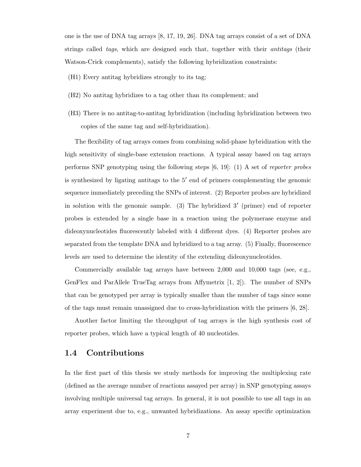one is the use of DNA tag arrays [8, 17, 19, 26]. DNA tag arrays consist of a set of DNA strings called tags, which are designed such that, together with their *antitags* (their Watson-Crick complements), satisfy the following hybridization constraints:

- (H1) Every antitag hybridizes strongly to its tag;
- (H2) No antitag hybridizes to a tag other than its complement; and
- (H3) There is no antitag-to-antitag hybridization (including hybridization between two copies of the same tag and self-hybridization).

The flexibility of tag arrays comes from combining solid-phase hybridization with the high sensitivity of single-base extension reactions. A typical assay based on tag arrays performs SNP genotyping using the following steps [6, 19]: (1) A set of reporter probes is synthesized by ligating antitags to the  $5'$  end of primers complementing the genomic sequence immediately preceding the SNPs of interest. (2) Reporter probes are hybridized in solution with the genomic sample. (3) The hybridized 3' (primer) end of reporter probes is extended by a single base in a reaction using the polymerase enzyme and dideoxynucleotides fluorescently labeled with 4 different dyes. (4) Reporter probes are separated from the template DNA and hybridized to a tag array. (5) Finally, fluorescence levels are used to determine the identity of the extending dideoxynucleotides.

Commercially available tag arrays have between 2,000 and 10,000 tags (see, e.g., GenFlex and ParAllele TrueTag arrays from Affymetrix [1, 2]). The number of SNPs that can be genotyped per array is typically smaller than the number of tags since some of the tags must remain unassigned due to cross-hybridization with the primers [6, 28].

Another factor limiting the throughput of tag arrays is the high synthesis cost of reporter probes, which have a typical length of 40 nucleotides.

### 1.4 Contributions

In the first part of this thesis we study methods for improving the multiplexing rate (defined as the average number of reactions assayed per array) in SNP genotyping assays involving multiple universal tag arrays. In general, it is not possible to use all tags in an array experiment due to, e.g., unwanted hybridizations. An assay specific optimization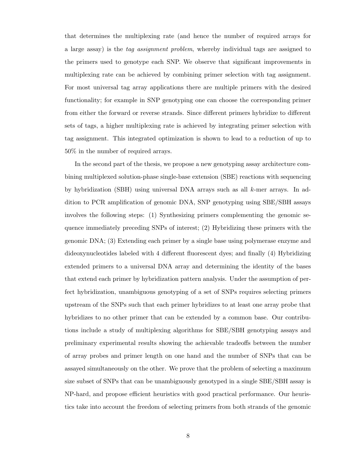that determines the multiplexing rate (and hence the number of required arrays for a large assay) is the tag assignment problem, whereby individual tags are assigned to the primers used to genotype each SNP. We observe that significant improvements in multiplexing rate can be achieved by combining primer selection with tag assignment. For most universal tag array applications there are multiple primers with the desired functionality; for example in SNP genotyping one can choose the corresponding primer from either the forward or reverse strands. Since different primers hybridize to different sets of tags, a higher multiplexing rate is achieved by integrating primer selection with tag assignment. This integrated optimization is shown to lead to a reduction of up to 50% in the number of required arrays.

In the second part of the thesis, we propose a new genotyping assay architecture combining multiplexed solution-phase single-base extension (SBE) reactions with sequencing by hybridization (SBH) using universal DNA arrays such as all k-mer arrays. In addition to PCR amplification of genomic DNA, SNP genotyping using SBE/SBH assays involves the following steps: (1) Synthesizing primers complementing the genomic sequence immediately preceding SNPs of interest; (2) Hybridizing these primers with the genomic DNA; (3) Extending each primer by a single base using polymerase enzyme and dideoxynucleotides labeled with 4 different fluorescent dyes; and finally (4) Hybridizing extended primers to a universal DNA array and determining the identity of the bases that extend each primer by hybridization pattern analysis. Under the assumption of perfect hybridization, unambiguous genotyping of a set of SNPs requires selecting primers upstream of the SNPs such that each primer hybridizes to at least one array probe that hybridizes to no other primer that can be extended by a common base. Our contributions include a study of multiplexing algorithms for SBE/SBH genotyping assays and preliminary experimental results showing the achievable tradeoffs between the number of array probes and primer length on one hand and the number of SNPs that can be assayed simultaneously on the other. We prove that the problem of selecting a maximum size subset of SNPs that can be unambiguously genotyped in a single SBE/SBH assay is NP-hard, and propose efficient heuristics with good practical performance. Our heuristics take into account the freedom of selecting primers from both strands of the genomic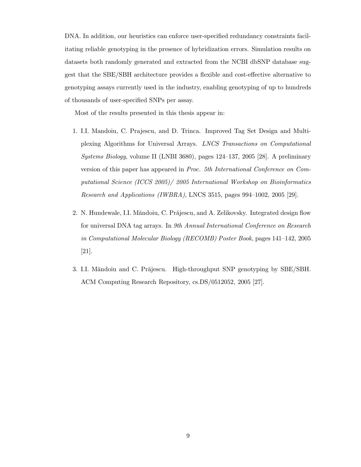DNA. In addition, our heuristics can enforce user-specified redundancy constraints facilitating reliable genotyping in the presence of hybridization errors. Simulation results on datasets both randomly generated and extracted from the NCBI dbSNP database suggest that the SBE/SBH architecture provides a flexible and cost-effective alternative to genotyping assays currently used in the industry, enabling genotyping of up to hundreds of thousands of user-specified SNPs per assay.

Most of the results presented in this thesis appear in:

- 1. I.I. Mandoiu, C. Prajescu, and D. Trinca. Improved Tag Set Design and Multiplexing Algorithms for Universal Arrays. LNCS Transactions on Computational Systems Biology, volume II (LNBI 3680), pages 124–137, 2005 [28]. A preliminary version of this paper has appeared in Proc. 5th International Conference on Computational Science (ICCS 2005)/ 2005 International Workshop on Bioinformatics Research and Applications (IWBRA), LNCS 3515, pages 994–1002, 2005 [29].
- 2. N. Hundewale, I.I. Măndoiu, C. Prăjescu, and A. Zelikovsky. Integrated design flow for universal DNA tag arrays. In 9th Annual International Conference on Research in Computational Molecular Biology (RECOMB) Poster Book, pages 141–142, 2005 [21].
- 3. I.I. Măndoiu and C. Prăjescu. High-throughput SNP genotyping by SBE/SBH. ACM Computing Research Repository, cs.DS/0512052, 2005 [27].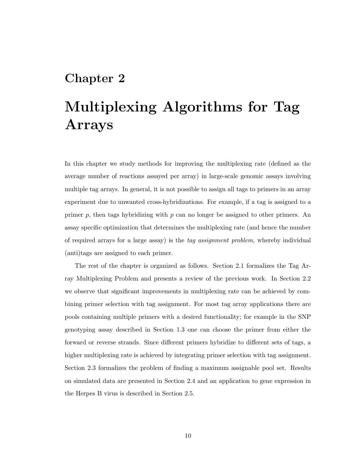### Chapter 2

# Multiplexing Algorithms for Tag Arrays

In this chapter we study methods for improving the multiplexing rate (defined as the average number of reactions assayed per array) in large-scale genomic assays involving multiple tag arrays. In general, it is not possible to assign all tags to primers in an array experiment due to unwanted cross-hybridizations. For example, if a tag is assigned to a primer p, then tags hybridizing with p can no longer be assigned to other primers. An assay specific optimization that determines the multiplexing rate (and hence the number of required arrays for a large assay) is the tag assignment problem, whereby individual (anti)tags are assigned to each primer.

The rest of the chapter is organized as follows. Section 2.1 formalizes the Tag Array Multiplexing Problem and presents a review of the previous work. In Section 2.2 we observe that significant improvements in multiplexing rate can be achieved by combining primer selection with tag assignment. For most tag array applications there are pools containing multiple primers with a desired functionality; for example in the SNP genotyping assay described in Section 1.3 one can choose the primer from either the forward or reverse strands. Since different primers hybridize to different sets of tags, a higher multiplexing rate is achieved by integrating primer selection with tag assignment. Section 2.3 formalizes the problem of finding a maximum assignable pool set. Results on simulated data are presented in Section 2.4 and an application to gene expression in the Herpes B virus is described in Section 2.5.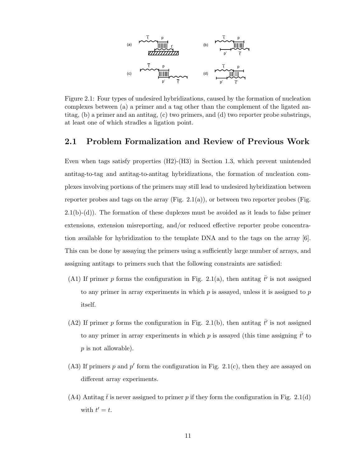

Figure 2.1: Four types of undesired hybridizations, caused by the formation of nucleation complexes between (a) a primer and a tag other than the complement of the ligated antitag, (b) a primer and an antitag, (c) two primers, and (d) two reporter probe substrings, at least one of which stradles a ligation point.

### 2.1 Problem Formalization and Review of Previous Work

Even when tags satisfy properties (H2)-(H3) in Section 1.3, which prevent unintended antitag-to-tag and antitag-to-antitag hybridizations, the formation of nucleation complexes involving portions of the primers may still lead to undesired hybridization between reporter probes and tags on the array  $(Fig. 2.1(a))$ , or between two reporter probes (Fig. 2.1(b)-(d)). The formation of these duplexes must be avoided as it leads to false primer extensions, extension misreporting, and/or reduced effective reporter probe concentration available for hybridization to the template DNA and to the tags on the array [6]. This can be done by assaying the primers using a sufficiently large number of arrays, and assigning antitags to primers such that the following constraints are satisfied:

- (A1) If primer p forms the configuration in Fig. 2.1(a), then antitag  $\bar{t}$  is not assigned to any primer in array experiments in which  $p$  is assayed, unless it is assigned to  $p$ itself.
- (A2) If primer p forms the configuration in Fig. 2.1(b), then antitag  $\bar{t}$  is not assigned to any primer in array experiments in which p is assayed (this time assigning  $\bar{t}'$  to p is not allowable).
- $(A3)$  If primers p and p' form the configuration in Fig. 2.1(c), then they are assayed on different array experiments.
- (A4) Antitag t is never assigned to primer p if they form the configuration in Fig. 2.1(d) with  $t' = t$ .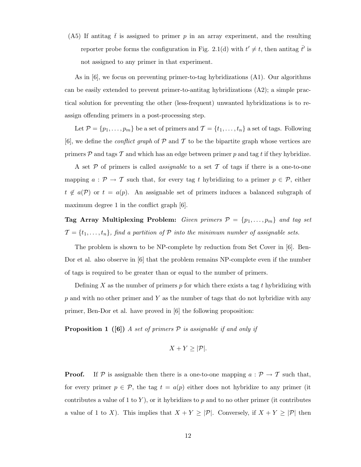(A5) If antitag  $\bar{t}$  is assigned to primer p in an array experiment, and the resulting reporter probe forms the configuration in Fig. 2.1(d) with  $t' \neq t$ , then antitag  $\bar{t}'$  is not assigned to any primer in that experiment.

As in [6], we focus on preventing primer-to-tag hybridizations (A1). Our algorithms can be easily extended to prevent primer-to-antitag hybridizations (A2); a simple practical solution for preventing the other (less-frequent) unwanted hybridizations is to reassign offending primers in a post-processing step.

Let  $\mathcal{P} = \{p_1, \ldots, p_m\}$  be a set of primers and  $\mathcal{T} = \{t_1, \ldots, t_n\}$  a set of tags. Following [6], we define the *conflict graph* of  $P$  and  $T$  to be the bipartite graph whose vertices are primers  $P$  and tags  $T$  and which has an edge between primer p and tag t if they hybridize.

A set  $P$  of primers is called *assignable* to a set  $T$  of tags if there is a one-to-one mapping  $a: \mathcal{P} \to \mathcal{T}$  such that, for every tag t hybridizing to a primer  $p \in \mathcal{P}$ , either  $t \notin a(\mathcal{P})$  or  $t = a(p)$ . An assignable set of primers induces a balanced subgraph of maximum degree 1 in the conflict graph [6].

Tag Array Multiplexing Problem: Given primers  $P = \{p_1, \ldots, p_m\}$  and tag set  $\mathcal{T} = \{t_1, \ldots, t_n\}$ , find a partition of  $\mathcal P$  into the minimum number of assignable sets.

The problem is shown to be NP-complete by reduction from Set Cover in [6]. Ben-Dor et al. also observe in [6] that the problem remains NP-complete even if the number of tags is required to be greater than or equal to the number of primers.

Defining  $X$  as the number of primers  $p$  for which there exists a tag  $t$  hybridizing with  $p$  and with no other primer and  $Y$  as the number of tags that do not hybridize with any primer, Ben-Dor et al. have proved in [6] the following proposition:

**Proposition 1** ([6]) A set of primers  $P$  is assignable if and only if

$$
X+Y\geq |\mathcal{P}|.
$$

**Proof.** If P is assignable then there is a one-to-one mapping  $a : \mathcal{P} \to \mathcal{T}$  such that, for every primer  $p \in \mathcal{P}$ , the tag  $t = a(p)$  either does not hybridize to any primer (it contributes a value of 1 to  $Y$ ), or it hybridizes to p and to no other primer (it contributes a value of 1 to X). This implies that  $X + Y \geq |\mathcal{P}|$ . Conversely, if  $X + Y \geq |\mathcal{P}|$  then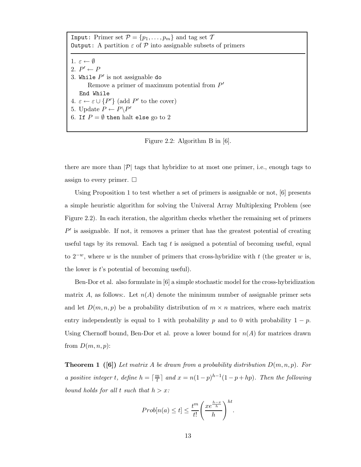| <b>Input:</b> Primer set $\mathcal{P} = \{p_1, \ldots, p_m\}$ and tag set $\mathcal{T}$      |  |  |  |  |  |  |
|----------------------------------------------------------------------------------------------|--|--|--|--|--|--|
| <b>Output:</b> A partition $\varepsilon$ of $\mathcal{P}$ into assignable subsets of primers |  |  |  |  |  |  |
|                                                                                              |  |  |  |  |  |  |
| 1. $\varepsilon \leftarrow \emptyset$                                                        |  |  |  |  |  |  |
| 2. $P' \leftarrow P$                                                                         |  |  |  |  |  |  |
| 3. While $P'$ is not assignable do                                                           |  |  |  |  |  |  |
| Remove a primer of maximum potential from $P'$                                               |  |  |  |  |  |  |
| End While                                                                                    |  |  |  |  |  |  |
| 4. $\varepsilon \leftarrow \varepsilon \cup \{P'\}$ (add P' to the cover)                    |  |  |  |  |  |  |
| 5. Update $P \leftarrow P \backslash P'$                                                     |  |  |  |  |  |  |
| 6. If $P = \emptyset$ then halt else go to 2                                                 |  |  |  |  |  |  |
|                                                                                              |  |  |  |  |  |  |

Figure 2.2: Algorithm B in [6].

there are more than  $|\mathcal{P}|$  tags that hybridize to at most one primer, i.e., enough tags to assign to every primer.  $\square$ 

Using Proposition 1 to test whether a set of primers is assignable or not, [6] presents a simple heuristic algorithm for solving the Univeral Array Multiplexing Problem (see Figure 2.2). In each iteration, the algorithm checks whether the remaining set of primers  $P'$  is assignable. If not, it removes a primer that has the greatest potential of creating useful tags by its removal. Each tag t is assigned a potential of becoming useful, equal to  $2^{-w}$ , where w is the number of primers that cross-hybridize with t (the greater w is, the lower is  $t$ 's potential of becoming useful).

Ben-Dor et al. also formulate in [6] a simple stochastic model for the cross-hybridization matrix A, as follows: Let  $n(A)$  denote the minimum number of assignable primer sets and let  $D(m, n, p)$  be a probability distribution of  $m \times n$  matrices, where each matrix entry independently is equal to 1 with probability p and to 0 with probability  $1 - p$ . Using Chernoff bound, Ben-Dor et al. prove a lower bound for  $n(A)$  for matrices drawn from  $D(m, n, p)$ :

**Theorem 1** ([6]) Let matrix A be drawn from a probability distribution  $D(m, n, p)$ . For a positive integer t, define  $h = \lceil \frac{m}{t} \rceil$  $\frac{n}{t}$  and  $x = n(1-p)^{h-1}(1-p+hp)$ . Then the following bound holds for all t such that  $h > x$ :

$$
Prob[n(a) \le t] \le \frac{t^m}{t!} \left(\frac{xe^{\frac{h-x}{h}}}{h}\right)^{ht}.
$$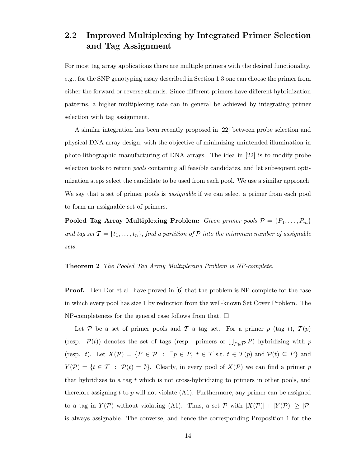### 2.2 Improved Multiplexing by Integrated Primer Selection and Tag Assignment

For most tag array applications there are multiple primers with the desired functionality, e.g., for the SNP genotyping assay described in Section 1.3 one can choose the primer from either the forward or reverse strands. Since different primers have different hybridization patterns, a higher multiplexing rate can in general be achieved by integrating primer selection with tag assignment.

A similar integration has been recently proposed in [22] between probe selection and physical DNA array design, with the objective of minimizing unintended illumination in photo-lithographic manufacturing of DNA arrays. The idea in [22] is to modify probe selection tools to return pools containing all feasible candidates, and let subsequent optimization steps select the candidate to be used from each pool. We use a similar approach. We say that a set of primer pools is *assignable* if we can select a primer from each pool to form an assignable set of primers.

**Pooled Tag Array Multiplexing Problem:** Given primer pools  $P = \{P_1, \ldots, P_m\}$ and tag set  $\mathcal{T} = \{t_1, \ldots, t_n\}$ , find a partition of  $\mathcal P$  into the minimum number of assignable sets.

### Theorem 2 The Pooled Tag Array Multiplexing Problem is NP-complete.

Proof. Ben-Dor et al. have proved in [6] that the problem is NP-complete for the case in which every pool has size 1 by reduction from the well-known Set Cover Problem. The NP-completeness for the general case follows from that.  $\Box$ 

Let P be a set of primer pools and T a tag set. For a primer p (tag t),  $T(p)$ (resp.  $\mathcal{P}(t)$ ) denotes the set of tags (resp. primers of  $\bigcup_{P \in \mathcal{P}} P$ ) hybridizing with p (resp. t). Let  $X(\mathcal{P}) = \{P \in \mathcal{P} : \exists p \in P, t \in \mathcal{T} \text{ s.t. } t \in \mathcal{T}(p) \text{ and } \mathcal{P}(t) \subseteq P\}$  and  $Y(\mathcal{P}) = \{t \in \mathcal{T} : \mathcal{P}(t) = \emptyset\}.$  Clearly, in every pool of  $X(\mathcal{P})$  we can find a primer p that hybridizes to a tag  $t$  which is not cross-hybridizing to primers in other pools, and therefore assigning  $t$  to  $p$  will not violate  $(A1)$ . Furthermore, any primer can be assigned to a tag in  $Y(\mathcal{P})$  without violating (A1). Thus, a set  $\mathcal{P}$  with  $|X(\mathcal{P})| + |Y(\mathcal{P})| \geq |\mathcal{P}|$ is always assignable. The converse, and hence the corresponding Proposition 1 for the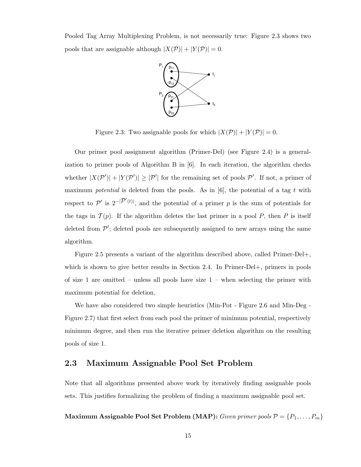Pooled Tag Array Multiplexing Problem, is not necessarily true: Figure 2.3 shows two pools that are assignable although  $|X(\mathcal{P})| + |Y(\mathcal{P})| = 0$ .



Figure 2.3: Two assignable pools for which  $|X(\mathcal{P})| + |Y(\mathcal{P})| = 0$ .

Our primer pool assignment algorithm (Primer-Del) (see Figure 2.4) is a generalization to primer pools of Algorithm B in [6]. In each iteration, the algorithm checks whether  $|X(\mathcal{P}')| + |Y(\mathcal{P}')| \geq |\mathcal{P}'|$  for the remaining set of pools  $\mathcal{P}'$ . If not, a primer of maximum *potential* is deleted from the pools. As in  $[6]$ , the potential of a tag t with respect to  $\mathcal{P}'$  is  $2^{-|\mathcal{P}'(t)|}$ , and the potential of a primer p is the sum of potentials for the tags in  $\mathcal{T}(p)$ . If the algorithm deletes the last primer in a pool P, then P is itself deleted from  $\mathcal{P}'$ ; deleted pools are subsequently assigned to new arrays using the same algorithm.

Figure 2.5 presents a variant of the algorithm described above, called Primer-Del+, which is shown to give better results in Section 2.4. In Primer-Del+, primers in pools of size 1 are omitted – unless all pools have size  $1$  – when selecting the primer with maximum potential for deletion.

We have also considered two simple heuristics (Min-Pot - Figure 2.6 and Min-Deg -Figure 2.7) that first select from each pool the primer of minimum potential, respectively minimum degree, and then run the iterative primer deletion algorithm on the resulting pools of size 1.

### 2.3 Maximum Assignable Pool Set Problem

Note that all algorithms presented above work by iteratively finding assignable pools sets. This justifies formalizing the problem of finding a maximum assignable pool set.

Maximum Assignable Pool Set Problem (MAP): Given primer pools  $P = \{P_1, \ldots, P_m\}$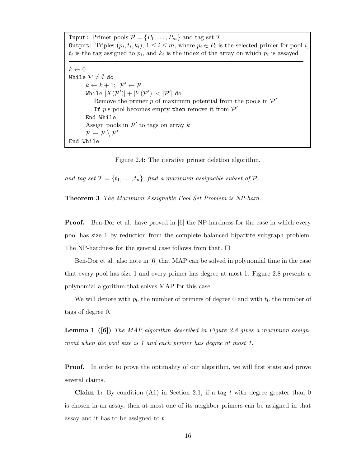Input: Primer pools  $\mathcal{P} = \{P_1, \ldots, P_m\}$  and tag set  $\mathcal{T}$ **Output:** Triples  $(p_i, t_i, k_i)$ ,  $1 \leq i \leq m$ , where  $p_i \in P_i$  is the selected primer for pool *i*,  $t_i$  is the tag assigned to  $p_i$ , and  $k_i$  is the index of the array on which  $p_i$  is assayed  $k \leftarrow 0$ While  $P\neq \emptyset$  do  $k \leftarrow k+1; \ \mathcal{P}' \leftarrow \mathcal{P}$ While  $|X(\mathcal{P}')|+|Y(\mathcal{P}')|<|\mathcal{P}'|$  do Remove the primer  $p$  of maximum potential from the pools in  $\mathcal{P}'$ If  $p$ 's pool becomes empty then remove it from  $\mathcal{P}'$ End While Assign pools in  $\mathcal{P}'$  to tags on array k  $\mathcal{P} \leftarrow \mathcal{P} \setminus \mathcal{P}'$ End While

Figure 2.4: The iterative primer deletion algorithm.

and tag set  $\mathcal{T} = \{t_1, \ldots, t_n\}$ , find a maximum assignable subset of  $\mathcal{P}$ .

Theorem 3 The Maximum Assignable Pool Set Problem is NP-hard.

**Proof.** Ben-Dor et al. have proved in [6] the NP-hardness for the case in which every pool has size 1 by reduction from the complete balanced bipartite subgraph problem. The NP-hardness for the general case follows from that.  $\square$ 

Ben-Dor et al. also note in [6] that MAP can be solved in polynomial time in the case that every pool has size 1 and every primer has degree at most 1. Figure 2.8 presents a polynomial algorithm that solves MAP for this case.

We will denote with  $p_0$  the number of primers of degree 0 and with  $t_0$  the number of tags of degree 0.

**Lemma 1** ([6]) The MAP algorithm described in Figure 2.8 gives a maximum assignment when the pool size is 1 and each primer has degree at most 1.

**Proof.** In order to prove the optimality of our algorithm, we will first state and prove several claims.

**Claim 1:** By condition  $(A1)$  in Section 2.1, if a tag t with degree greater than 0 is chosen in an assay, then at most one of its neighbor primers can be assigned in that assay and it has to be assigned to t.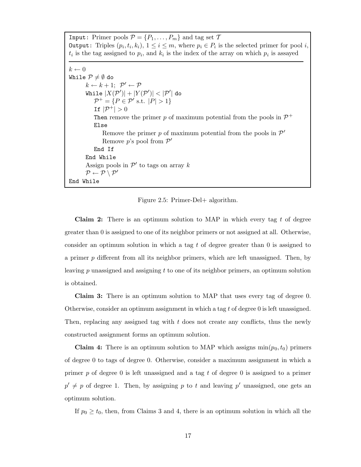Input: Primer pools  $\mathcal{P} = \{P_1, \ldots, P_m\}$  and tag set  $\mathcal{T}$ **Output:** Triples  $(p_i, t_i, k_i)$ ,  $1 \leq i \leq m$ , where  $p_i \in P_i$  is the selected primer for pool *i*,  $t_i$  is the tag assigned to  $p_i$ , and  $k_i$  is the index of the array on which  $p_i$  is assayed

```
k \leftarrow 0While P\neq \emptyset do
         k \leftarrow k+1; \ \mathcal{P}' \leftarrow \mathcal{P}While |X(\mathcal{P}')|+|Y(\mathcal{P}')|<|\mathcal{P}'| do
              \mathcal{P}^+ = \{ P \in \mathcal{P}' \text{ s.t. } |P| > 1 \}If |\mathcal{P}^+| > 0Then remove the primer p of maximum potential from the pools in \mathcal{P}^+Else
                  Remove the primer p of maximum potential from the pools in \mathcal{P}'Remove p's pool from \mathcal{P}'End If
         End While
         Assign pools in \mathcal{P}' to tags on array k
         \mathcal{P} \leftarrow \mathcal{P} \setminus \mathcal{P}'End While
```
Figure 2.5: Primer-Del+ algorithm.

Claim 2: There is an optimum solution to MAP in which every tag t of degree greater than 0 is assigned to one of its neighbor primers or not assigned at all. Otherwise, consider an optimum solution in which a tag  $t$  of degree greater than  $0$  is assigned to a primer p different from all its neighbor primers, which are left unassigned. Then, by leaving  $p$  unassigned and assigning  $t$  to one of its neighbor primers, an optimum solution is obtained.

Claim 3: There is an optimum solution to MAP that uses every tag of degree 0. Otherwise, consider an optimum assignment in which a tag  $t$  of degree 0 is left unassigned. Then, replacing any assigned tag with t does not create any conflicts, thus the newly constructed assignment forms an optimum solution.

**Claim 4:** There is an optimum solution to MAP which assigns  $\min(p_0, t_0)$  primers of degree 0 to tags of degree 0. Otherwise, consider a maximum assignment in which a primer  $p$  of degree 0 is left unassigned and a tag t of degree 0 is assigned to a primer  $p' \neq p$  of degree 1. Then, by assigning p to t and leaving p' unassigned, one gets an optimum solution.

If  $p_0 \ge t_0$ , then, from Claims 3 and 4, there is an optimum solution in which all the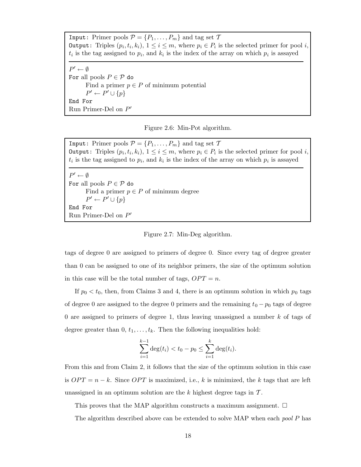Input: Primer pools  $\mathcal{P} = \{P_1, \ldots, P_m\}$  and tag set  $\mathcal{T}$ **Output:** Triples  $(p_i, t_i, k_i)$ ,  $1 \leq i \leq m$ , where  $p_i \in P_i$  is the selected primer for pool *i*,  $t_i$  is the tag assigned to  $p_i$ , and  $k_i$  is the index of the array on which  $p_i$  is assayed

 $P' \leftarrow \emptyset$ For all pools  $P \in \mathcal{P}$  do Find a primer  $p \in P$  of minimum potential  $P' \leftarrow P' \cup \{p\}$ End For Run Primer-Del on  $P'$ 

Figure 2.6: Min-Pot algorithm.

Input: Primer pools  $\mathcal{P} = \{P_1, \ldots, P_m\}$  and tag set  $\mathcal{T}$ **Output:** Triples  $(p_i, t_i, k_i)$ ,  $1 \leq i \leq m$ , where  $p_i \in P_i$  is the selected primer for pool *i*,  $t_i$  is the tag assigned to  $p_i$ , and  $k_i$  is the index of the array on which  $p_i$  is assayed

```
P' \leftarrow \emptysetFor all pools P \in \mathcal{P} do
       Find a primer p \in P of minimum degree
        P' \leftarrow P' \cup \{p\}End For
Run Primer-Del on P'
```
Figure 2.7: Min-Deg algorithm.

tags of degree 0 are assigned to primers of degree 0. Since every tag of degree greater than 0 can be assigned to one of its neighbor primers, the size of the optimum solution in this case will be the total number of tags,  $OPT = n$ .

If  $p_0 < t_0$ , then, from Claims 3 and 4, there is an optimum solution in which  $p_0$  tags of degree 0 are assigned to the degree 0 primers and the remaining  $t_0 - p_0$  tags of degree 0 are assigned to primers of degree 1, thus leaving unassigned a number k of tags of degree greater than  $0, t_1, \ldots, t_k$ . Then the following inequalities hold:

$$
\sum_{i=1}^{k-1} \deg(t_i) < t_0 - p_0 \le \sum_{i=1}^k \deg(t_i).
$$

From this and from Claim 2, it follows that the size of the optimum solution in this case is  $OPT = n - k$ . Since  $OPT$  is maximized, i.e., k is minimized, the k tags that are left unassigned in an optimum solution are the k highest degree tags in  $\mathcal{T}$ .

This proves that the MAP algorithm constructs a maximum assignment.  $\Box$ 

The algorithm described above can be extended to solve MAP when each *pool P* has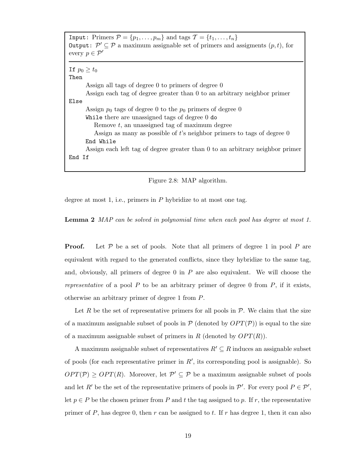| Input: Primers $\mathcal{P} = \{p_1, \ldots, p_m\}$ and tags $\mathcal{T} = \{t_1, \ldots, t_n\}$                     |  |  |  |  |  |  |  |
|-----------------------------------------------------------------------------------------------------------------------|--|--|--|--|--|--|--|
| <b>Output:</b> $\mathcal{P}' \subseteq \mathcal{P}$ a maximum assignable set of primers and assigments $(p, t)$ , for |  |  |  |  |  |  |  |
| every $p \in \mathcal{P}'$                                                                                            |  |  |  |  |  |  |  |
|                                                                                                                       |  |  |  |  |  |  |  |
| If $p_0 \geq t_0$                                                                                                     |  |  |  |  |  |  |  |
|                                                                                                                       |  |  |  |  |  |  |  |
| Then                                                                                                                  |  |  |  |  |  |  |  |
| Assign all tags of degree 0 to primers of degree 0                                                                    |  |  |  |  |  |  |  |
| Assign each tag of degree greater than 0 to an arbitrary neighbor primer                                              |  |  |  |  |  |  |  |
| Else                                                                                                                  |  |  |  |  |  |  |  |
| Assign $p_0$ tags of degree 0 to the $p_0$ primers of degree 0                                                        |  |  |  |  |  |  |  |
| While there are unassigned tags of degree $0$ do                                                                      |  |  |  |  |  |  |  |
| Remove $t$ , an unassigned tag of maximum degree                                                                      |  |  |  |  |  |  |  |
| Assign as many as possible of t's neighbor primers to tags of degree 0                                                |  |  |  |  |  |  |  |
| End While                                                                                                             |  |  |  |  |  |  |  |
| Assign each left tag of degree greater than 0 to an arbitrary neighbor primer                                         |  |  |  |  |  |  |  |
| End If                                                                                                                |  |  |  |  |  |  |  |
|                                                                                                                       |  |  |  |  |  |  |  |
|                                                                                                                       |  |  |  |  |  |  |  |



degree at most 1, i.e., primers in  $P$  hybridize to at most one tag.

Lemma 2 MAP can be solved in polynomial time when each pool has degree at most 1.

**Proof.** Let  $P$  be a set of pools. Note that all primers of degree 1 in pool  $P$  are equivalent with regard to the generated conflicts, since they hybridize to the same tag, and, obviously, all primers of degree  $0$  in  $P$  are also equivalent. We will choose the representative of a pool  $P$  to be an arbitrary primer of degree 0 from  $P$ , if it exists, otherwise an arbitrary primer of degree 1 from P.

Let R be the set of representative primers for all pools in  $P$ . We claim that the size of a maximum assignable subset of pools in  $P$  (denoted by  $OPT(P)$ ) is equal to the size of a maximum assignable subset of primers in R (denoted by  $OPT(R)$ ).

A maximum assignable subset of representatives  $R' \subseteq R$  induces an assignable subset of pools (for each representative primer in  $R'$ , its corresponding pool is assignable). So  $OPT(\mathcal{P}) \geq OPT(R)$ . Moreover, let  $\mathcal{P}' \subseteq \mathcal{P}$  be a maximum assignable subset of pools and let R' be the set of the representative primers of pools in  $\mathcal{P}'$ . For every pool  $P \in \mathcal{P}'$ , let  $p \in P$  be the chosen primer from P and t the tag assigned to p. If r, the representative primer of P, has degree 0, then r can be assigned to t. If r has degree 1, then it can also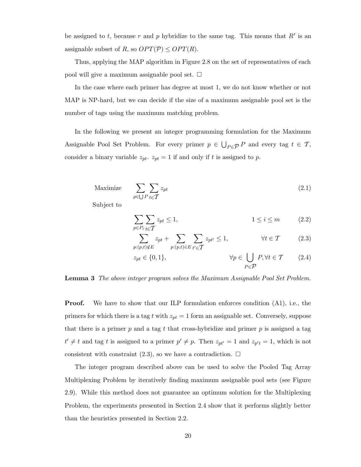be assigned to t, because r and p hybridize to the same tag. This means that  $R'$  is an assignable subset of R, so  $OPT(\mathcal{P}) \leq OPT(R)$ .

Thus, applying the MAP algorithm in Figure 2.8 on the set of representatives of each pool will give a maximum assignable pool set.  $\Box$ 

In the case where each primer has degree at most 1, we do not know whether or not MAP is NP-hard, but we can decide if the size of a maximum assignable pool set is the number of tags using the maximum matching problem.

In the following we present an integer programming formulation for the Maximum Assignable Pool Set Problem. For every primer  $p \in \bigcup_{P \in \mathcal{P}} P$  and every tag  $t \in \mathcal{T}$ , consider a binary variable  $z_{pt}$ .  $z_{pt} = 1$  if and only if t is assigned to p.

$$
\text{Maximize} \quad \sum_{p \in \bigcup P} \sum_{t \in \mathcal{T}} z_{pt} \tag{2.1}
$$

Subject to

$$
\sum_{p \in P_i} \sum_{t \in T} z_{pt} \le 1, \qquad 1 \le i \le m \qquad (2.2)
$$

$$
\sum_{p:(p,t)\notin E} z_{pt} + \sum_{p:(p,t)\in E} \sum_{t'\in \mathcal{T}} z_{pt'} \le 1, \qquad \forall t \in \mathcal{T} \qquad (2.3)
$$

$$
z_{pt} \in \{0, 1\}, \qquad \forall p \in \bigcup_{P \in \mathcal{P}} P, \forall t \in \mathcal{T} \qquad (2.4)
$$

Lemma 3 The above integer program solves the Maximum Assignable Pool Set Problem.

**Proof.** We have to show that our ILP formulation enforces condition  $(A1)$ , i.e., the primers for which there is a tag t with  $z_{pt} = 1$  form an assignable set. Conversely, suppose that there is a primer  $p$  and a tag t that cross-hybridize and primer  $p$  is assigned a tag  $t' \neq t$  and tag t is assigned to a primer  $p' \neq p$ . Then  $z_{pt'} = 1$  and  $z_{p't} = 1$ , which is not consistent with constraint  $(2.3)$ , so we have a contradiction.  $\Box$ 

The integer program described above can be used to solve the Pooled Tag Array Multiplexing Problem by iteratively finding maximum assignable pool sets (see Figure 2.9). While this method does not guarantee an optimum solution for the Multiplexing Problem, the experiments presented in Section 2.4 show that it performs slightly better than the heuristics presented in Section 2.2.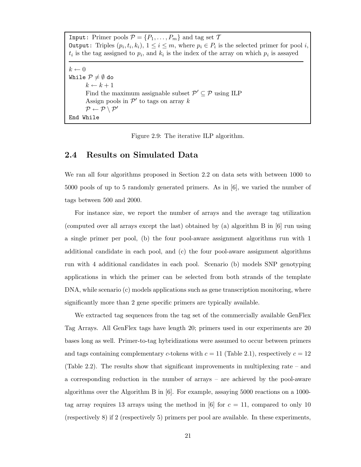Input: Primer pools  $\mathcal{P} = \{P_1, \ldots, P_m\}$  and tag set  $\mathcal{T}$ **Output:** Triples  $(p_i, t_i, k_i)$ ,  $1 \leq i \leq m$ , where  $p_i \in P_i$  is the selected primer for pool *i*,  $t_i$  is the tag assigned to  $p_i$ , and  $k_i$  is the index of the array on which  $p_i$  is assayed  $k \leftarrow 0$ While  $P\neq \emptyset$  do  $k \leftarrow k + 1$ Find the maximum assignable subset  $\mathcal{P}' \subseteq \mathcal{P}$  using ILP Assign pools in  $\mathcal{P}'$  to tags on array k  $\mathcal{P} \leftarrow \mathcal{P} \setminus \mathcal{P}'$ End While

Figure 2.9: The iterative ILP algorithm.

### 2.4 Results on Simulated Data

We ran all four algorithms proposed in Section 2.2 on data sets with between 1000 to 5000 pools of up to 5 randomly generated primers. As in [6], we varied the number of tags between 500 and 2000.

For instance size, we report the number of arrays and the average tag utilization (computed over all arrays except the last) obtained by (a) algorithm B in [6] run using a single primer per pool, (b) the four pool-aware assignment algorithms run with 1 additional candidate in each pool, and (c) the four pool-aware assignment algorithms run with 4 additional candidates in each pool. Scenario (b) models SNP genotyping applications in which the primer can be selected from both strands of the template DNA, while scenario (c) models applications such as gene transcription monitoring, where significantly more than 2 gene specific primers are typically available.

We extracted tag sequences from the tag set of the commercially available GenFlex Tag Arrays. All GenFlex tags have length 20; primers used in our experiments are 20 bases long as well. Primer-to-tag hybridizations were assumed to occur between primers and tags containing complementary c-tokens with  $c = 11$  (Table 2.1), respectively  $c = 12$ (Table 2.2). The results show that significant improvements in multiplexing rate – and a corresponding reduction in the number of arrays – are achieved by the pool-aware algorithms over the Algorithm B in [6]. For example, assaying 5000 reactions on a 1000 tag array requires 13 arrays using the method in [6] for  $c = 11$ , compared to only 10 (respectively 8) if 2 (respectively 5) primers per pool are available. In these experiments,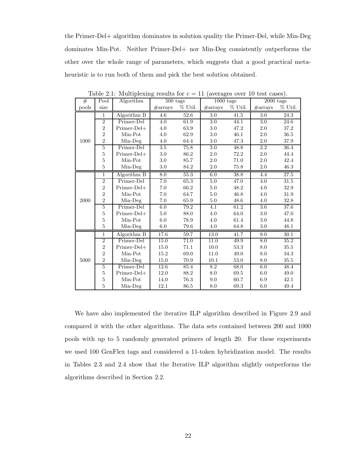the Primer-Del+ algorithm dominates in solution quality the Primer-Del, while Min-Deg dominates Min-Pot. Neither Primer-Del+ nor Min-Deg consistently outperforms the other over the whole range of parameters, which suggests that a good practical metaheuristic is to run both of them and pick the best solution obtained.

| #     | Pool           | Algorithm     | $500$ tags |            | $1000$ tags       |            | $2000$ tags       |            |
|-------|----------------|---------------|------------|------------|-------------------|------------|-------------------|------------|
| pools | size           |               | #arrays    | $\%$ Util. | $\#\text{arrays}$ | $\%$ Util. | $\#\text{arrays}$ | $\%$ Util. |
|       | $\mathbf{1}$   | Algorithm B   | $4.6\,$    | 52.6       | 3.0               | 41.5       | 3.0               | 24.3       |
|       | $\overline{2}$ | Primer-Del    | 4.0        | 61.9       | 3.0               | 44.1       | 3.0               | 24.6       |
|       | $\overline{2}$ | Primer-Del+   | 4.0        | 63.9       | 3.0               | 47.2       | $2.0\,$           | 37.2       |
|       | $\overline{2}$ | Min-Pot       | 4.0        | 62.9       | 3.0               | 46.1       | 2.0               | 36.5       |
| 1000  | $\overline{2}$ | Min-Deg       | 4.0        | 64.4       | 3.0               | $47.3\,$   | $2.0\,$           | $37.9\,$   |
|       | $\overline{5}$ | Primer-Del    | $3.5\,$    | 75.8       | 3.0               | 48.8       | 2.2               | 36.4       |
|       | $\overline{5}$ | Primer-Del+   | 3.0        | 86.2       | 2.0               | 72.2       | 2.0               | 44.4       |
|       | $\bf 5$        | Min-Pot       | 3.0        | 85.7       | 2.0               | 71.0       | 2.0               | 42.4       |
|       | $\bf 5$        | Min-Deg       | 3.0        | 84.2       | 2.0               | 75.8       | 2.0               | 46.3       |
|       | $\overline{1}$ | Algorithm B   | 8.0        | 55.3       | 6.0               | 38.8       | $4.4\,$           | 27.5       |
|       | $\overline{2}$ | Primer-Del    | 7.0        | 65.3       | 5.0               | 47.0       | 4.0               | 31.5       |
|       | $\overline{2}$ | Primer-Del+   | 7.0        | 66.2       | 5.0               | 48.2       | 4.0               | 32.9       |
|       | $\overline{2}$ | Min-Pot       | 7.0        | 64.7       | 5.0               | 46.8       | 4.0               | 31.9       |
| 2000  | $\overline{2}$ | Min-Deg       | 7.0        | 65.9       | 5.0               | 48.6       | 4.0               | 32.8       |
|       | $\overline{5}$ | Primer-Del    | 6.0        | 79.2       | 4.1               | 61.2       | $\overline{3.6}$  | 37.6       |
|       | $\bf 5$        | Primer-Del+   | 5.0        | 88.0       | 4.0               | 64.0       | $3.0\,$           | 47.0       |
|       | $\bf 5$        | Min-Pot       | 6.0        | 78.9       | 4.0               | 61.4       | 3.0               | 44.8       |
|       | $\overline{5}$ | Min-Deg       | 6.0        | 79.6       | 4.0               | 64.8       | 3.0               | 48.1       |
|       | 1              | Algorithm B   | 17.6       | 59.7       | 13.0              | 41.7       | 9.0               | 30.1       |
|       | $\overline{2}$ | Primer-Del    | 15.0       | 71.0       | 11.0              | 49.9       | 8.0               | 35.2       |
|       | $\overline{2}$ | $Primer-Del+$ | 15.0       | 71.1       | 10.0              | 53.3       | 8.0               | 35.5       |
|       | $\overline{2}$ | Min-Pot       | 15.2       | 69.0       | 11.0              | 49.0       | 8.0               | 34.3       |
| 5000  | $\overline{2}$ | Min-Deg       | 15.0       | 70.9       | 10.1              | 53.0       | 8.0               | 35.5       |
|       | $\overline{5}$ | Primer-Del    | 12.6       | 85.4       | $\overline{8.2}$  | 68.0       | 6.0               | 48.4       |
|       | $\overline{5}$ | Primer-Del+   | 12.0       | 88.2       | 8.0               | 69.5       | 6.0               | 49.0       |
|       | $\bf 5$        | Min-Pot       | 14.0       | 76.3       | 9.0               | 60.7       | 6.9               | 42.1       |
|       | 5              | $Min-Deg$     | 12.1       | 86.5       | $8.0\,$           | 69.3       | 6.0               | 49.4       |

Table 2.1: Multiplexing results for  $c = 11$  (averages over 10 test cases).

We have also implemented the iterative ILP algorithm described in Figure 2.9 and compared it with the other algorithms. The data sets contained between 200 and 1000 pools with up to 5 randomly generated primers of length 20. For these experiments we used 100 GenFlex tags and considered a 11-token hybridization model. The results in Tables 2.3 and 2.4 show that the Iterative ILP algorithm slightly outperforms the algorithms described in Section 2.2.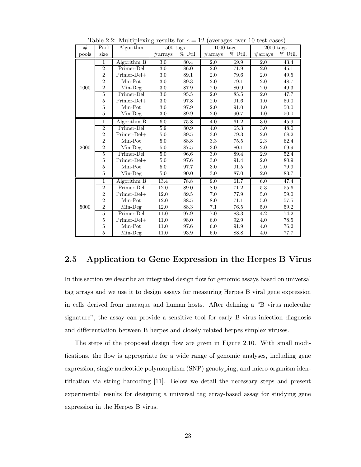| #     | Pool           | Algorithm     | $500$ tags |            | $1000$ tags       |            | $2000$ tags       |            |
|-------|----------------|---------------|------------|------------|-------------------|------------|-------------------|------------|
| pools | size           |               | #arrays    | $\%$ Util. | $\#\text{arrays}$ | $\%$ Util. | $\#\text{arrays}$ | $\%$ Util. |
|       | $\,1$          | Algorithm B   | 3.0        | 80.4       | 2.0               | 69.9       | 2.0               | 43.4       |
|       | $\overline{2}$ | Primer-Del    | 3.0        | 86.0       | 2.0               | 71.9       | 2.0               | 45.1       |
|       | $\overline{2}$ | Primer-Del+   | $3.0\,$    | 89.1       | 2.0               | 79.6       | 2.0               | 49.5       |
|       | $\overline{2}$ | Min-Pot       | 3.0        | 89.3       | 2.0               | 79.1       | 2.0               | 48.7       |
| 1000  | $\overline{2}$ | Min-Deg       | 3.0        | $87.9\,$   | 2.0               | 80.9       | 2.0               | 49.3       |
|       | $\overline{5}$ | Primer-Del    | 3.0        | 95.5       | 2.0               | 85.5       | 2.0               | 47.7       |
|       | $\overline{5}$ | Primer-Del+   | 3.0        | 97.8       | 2.0               | 91.6       | 1.0               | 50.0       |
|       | $\bf 5$        | Min-Pot       | 3.0        | 97.9       | 2.0               | 91.0       | $1.0\,$           | $50.0\,$   |
|       | $\overline{5}$ | Min-Deg       | 3.0        | 89.9       | 2.0               | 90.7       | 1.0               | $50.0\,$   |
|       | $\,1$          | Algorithm B   | $6.0\,$    | 75.8       | 4.0               | 61.2       | $3.0\,$           | 45.9       |
|       | $\overline{2}$ | Primer-Del    | 5.9        | 80.9       | 4.0               | 65.3       | 3.0               | 48.0       |
|       | $\overline{2}$ | Primer-Del+   | $5.0\,$    | 89.5       | 3.0               | 79.3       | $2.0\,$           | 68.2       |
|       | $\overline{2}$ | Min-Pot       | 5.0        | 88.8       | 3.3               | 75.5       | 2.3               | 62.4       |
| 2000  | $\overline{2}$ | Min-Deg       | $5.0\,$    | 87.5       | 3.0               | 80.1       | 2.0               | 69.9       |
|       | $\overline{5}$ | Primer-Del    | 5.0        | 96.6       | $\overline{3.0}$  | 89.4       | 2.9               | 52.4       |
|       | $\overline{5}$ | $Primer-Del+$ | $5.0\,$    | 97.6       | 3.0               | 91.4       | 2.0               | 80.9       |
|       | $\bf 5$        | Min-Pot       | 5.0        | 97.7       | 3.0               | 91.5       | 2.0               | 79.9       |
|       | $\overline{5}$ | Min-Deg       | 5.0        | 90.0       | $3.0\,$           | 87.0       | 2.0               | 83.7       |
|       | 1              | Algorithm B   | 13.4       | 78.8       | 9.0               | 61.7       | 6.0               | 47.4       |
|       | $\overline{2}$ | Primer-Del    | 12.0       | 89.0       | $\overline{8.0}$  | 71.2       | $\overline{5.3}$  | 55.6       |
|       | $\overline{2}$ | $Primer-Del+$ | 12.0       | 89.5       | 7.0               | 77.9       | $5.0\,$           | 59.0       |
|       | $\overline{2}$ | Min-Pot       | 12.0       | 88.5       | 8.0               | 71.1       | 5.0               | 57.5       |
| 5000  | $\overline{2}$ | $Min-Deg$     | 12.0       | 88.3       | 7.1               | 76.5       | 5.0               | 59.2       |
|       | 5              | Primer-Del    | 11.0       | 97.9       | $\overline{7.0}$  | 83.3       | 4.2               | 74.2       |
|       | $\overline{5}$ | Primer-Del+   | 11.0       | 98.0       | 6.0               | 92.9       | 4.0               | 78.5       |
|       | $\overline{5}$ | Min-Pot       | 11.0       | 97.6       | 6.0               | 91.9       | 4.0               | 76.2       |
|       | 5              | Min-Deg       | 11.0       | 93.9       | 6.0               | 88.8       | 4.0               | 77.7       |

Table 2.2: Multiplexing results for  $c = 12$  (averages over 10 test cases).

### 2.5 Application to Gene Expression in the Herpes B Virus

In this section we describe an integrated design flow for genomic assays based on universal tag arrays and we use it to design assays for measuring Herpes B viral gene expression in cells derived from macaque and human hosts. After defining a "B virus molecular signature", the assay can provide a sensitive tool for early B virus infection diagnosis and differentiation between B herpes and closely related herpes simplex viruses.

The steps of the proposed design flow are given in Figure 2.10. With small modifications, the flow is appropriate for a wide range of genomic analyses, including gene expression, single nucleotide polymorphism (SNP) genotyping, and micro-organism identification via string barcoding [11]. Below we detail the necessary steps and present experimental results for designing a universal tag array-based assay for studying gene expression in the Herpes B virus.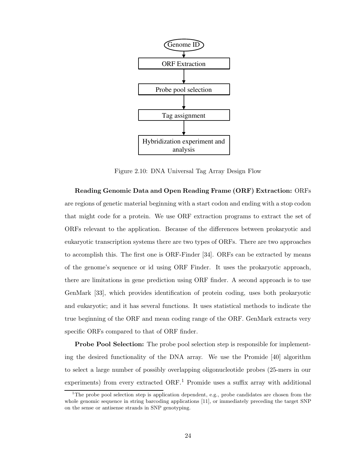

Figure 2.10: DNA Universal Tag Array Design Flow

Reading Genomic Data and Open Reading Frame (ORF) Extraction: ORFs are regions of genetic material beginning with a start codon and ending with a stop codon that might code for a protein. We use ORF extraction programs to extract the set of ORFs relevant to the application. Because of the differences between prokaryotic and eukaryotic transcription systems there are two types of ORFs. There are two approaches to accomplish this. The first one is ORF-Finder [34]. ORFs can be extracted by means of the genome's sequence or id using ORF Finder. It uses the prokaryotic approach, there are limitations in gene prediction using ORF finder. A second approach is to use GenMark [33], which provides identification of protein coding, uses both prokaryotic and eukaryotic; and it has several functions. It uses statistical methods to indicate the true beginning of the ORF and mean coding range of the ORF. GenMark extracts very specific ORFs compared to that of ORF finder.

Probe Pool Selection: The probe pool selection step is responsible for implementing the desired functionality of the DNA array. We use the Promide [40] algorithm to select a large number of possibly overlapping oligonucleotide probes (25-mers in our experiments) from every extracted  $ORF<sup>1</sup>$  Promide uses a suffix array with additional

<sup>&</sup>lt;sup>1</sup>The probe pool selection step is application dependent, e.g., probe candidates are chosen from the whole genomic sequence in string barcoding applications [11], or immediately preceding the target SNP on the sense or antisense strands in SNP genotyping.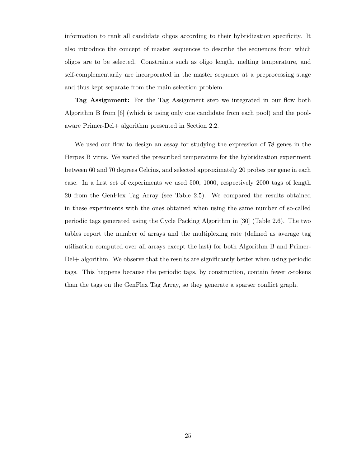information to rank all candidate oligos according to their hybridization specificity. It also introduce the concept of master sequences to describe the sequences from which oligos are to be selected. Constraints such as oligo length, melting temperature, and self-complementarily are incorporated in the master sequence at a preprocessing stage and thus kept separate from the main selection problem.

Tag Assignment: For the Tag Assignment step we integrated in our flow both Algorithm B from [6] (which is using only one candidate from each pool) and the poolaware Primer-Del+ algorithm presented in Section 2.2.

We used our flow to design an assay for studying the expression of 78 genes in the Herpes B virus. We varied the prescribed temperature for the hybridization experiment between 60 and 70 degrees Celcius, and selected approximately 20 probes per gene in each case. In a first set of experiments we used 500, 1000, respectively 2000 tags of length 20 from the GenFlex Tag Array (see Table 2.5). We compared the results obtained in these experiments with the ones obtained when using the same number of so-called periodic tags generated using the Cycle Packing Algorithm in [30] (Table 2.6). The two tables report the number of arrays and the multiplexing rate (defined as average tag utilization computed over all arrays except the last) for both Algorithm B and Primer-Del+ algorithm. We observe that the results are significantly better when using periodic tags. This happens because the periodic tags, by construction, contain fewer c-tokens than the tags on the GenFlex Tag Array, so they generate a sparser conflict graph.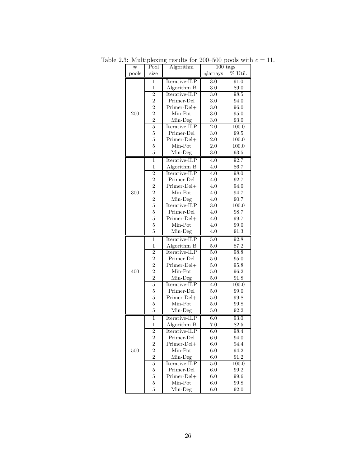| #     | Pool             | Algorithm     | $100$ tags       |                     |
|-------|------------------|---------------|------------------|---------------------|
| pools | size             |               | #arrays          | % Util.             |
|       | 1                | Iterative-ILP | 3.0              | 91.0                |
|       | $\mathbf{1}$     | Algorithm B   | $3.0\,$          | 89.0                |
|       | $\overline{2}$   | Iterative-ILP | $\overline{3.0}$ | 98.5                |
|       | $\overline{2}$   | Primer-Del    | 3.0              | 94.0                |
|       | $\overline{2}$   | Primer-Del+   | 3.0              | 96.0                |
| 200   | $\overline{2}$   | Min-Pot       | 3.0              | 95.0                |
|       | $\overline{2}$   | Min-Deg       | $3.0\,$          | $93.0\,$            |
|       | $\overline{5}$   | Iterative-ILP | $\overline{2.0}$ | 100.0               |
|       | 5                | Primer-Del    | $3.0\,$          | 99.5                |
|       | $\mathbf 5$      | Primer-Del+   | 2.0              | 100.0               |
|       | $\overline{5}$   | Min-Pot       | 2.0              | 100.0               |
|       | $\overline{5}$   | Min-Deg       | $3.0\,$          | $\boldsymbol{93.5}$ |
|       | 1                | Iterative-ILP | 4.0              | 92.7                |
|       | $\,1$            | Algorithm B   | $4.0\,$          | 86.7                |
|       | $\overline{2}$   | Iterative-ILP | 4.0              | 98.0                |
|       | $\overline{2}$   | Primer-Del    | 4.0              | 92.7                |
|       | $\overline{2}$   | Primer-Del+   | 4.0              | 94.0                |
| 300   | $\overline{2}$   | Min-Pot       | 4.0              | 94.7                |
|       | $\overline{2}$   | Min-Deg       | 4.0              | 90.7                |
|       | 5                | Iterative-ILP | 3.0              | 100.0               |
|       | $\overline{5}$   | Primer-Del    | 4.0              | 98.7                |
|       | $\overline{5}$   | Primer-Del+   | 4.0              | 99.7                |
|       | $\overline{5}$   | Min-Pot       | 4.0              | 99.0                |
|       | $\overline{5}$   | Min-Deg       | 4.0              | 91.3                |
|       | $\mathbf{1}$     | Iterative-ILP | $5.0\,$          | 92.8                |
|       | $\mathbf{1}$     | Algorithm B   | $5.0\,$          | $87.2\,$            |
|       | $\overline{2}$   | Iterative-ILP | 5.0              | 98.8                |
|       | $\overline{2}$   | Primer-Del    | $5.0\,$          | 95.0                |
|       | $\overline{2}$   | Primer-Del+   | $5.0\,$          | 95.8                |
| 400   | $\overline{2}$   | Min-Pot       | 5.0              | 96.2                |
|       | $\overline{2}$   | Min-Deg       | $5.0\,$          | 91.8                |
|       | $\overline{5}$   | Iterative-ILP | 4.0              | 100.0               |
|       | $\overline{5}$   | Primer-Del    | 5.0              | 99.0                |
|       | $\overline{5}$   | Primer-Del+   | $5.0\,$          | 99.8                |
|       | $\overline{5}$   | Min-Pot       | 5.0              | 99.8                |
|       | 5                | Min-Deg       | 5.0              | 92.2                |
|       | $\mathbf 1$      | Iterative-ILP | 6.0              | 93.0                |
|       | $\overline{1}$   | Algorithm B   | 7.0              | 82.5                |
|       | $\boldsymbol{2}$ | Iterative-ILP | 6.0              | 98.4                |
|       | $\overline{2}$   | Primer-Del    | 6.0              | 94.0                |
|       | $\overline{2}$   | Primer-Del+   | 6.0              | 94.4                |
| 500   | $\overline{2}$   | Min-Pot       | 6.0              | 94.2                |
|       | $\overline{2}$   | Min-Deg       | 6.0              | 91.2                |
|       | $\bf 5$          | Iterative-ILP | 5.0              | 100.0               |
|       | 5                | Primer-Del    | 6.0              | 99.2                |
|       | $\bf 5$          | Primer-Del+   | 6.0              | 99.6                |
|       | $\mathbf 5$      | Min-Pot       | 6.0              | 99.8                |
|       | $\overline{5}$   | Min-Deg       | 6.0              | 92.0                |

Table 2.3: Multiplexing results for 200–500 pools with  $c = 11$ .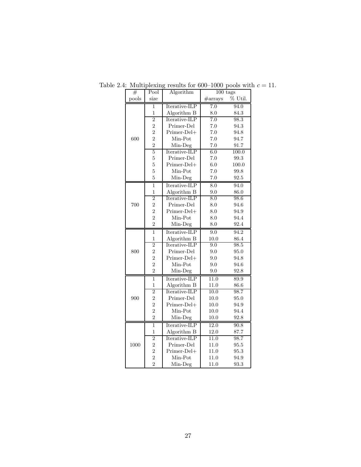| $^{\#}$ | Pool           | Algorithm     | $100$ tags                    |       |
|---------|----------------|---------------|-------------------------------|-------|
| pools   | size           |               | % Util.<br>$\#\mathrm{array}$ |       |
|         | 1              | Iterative-ILP | 7.0                           | 94.0  |
|         | $\mathbf 1$    | Algorithm B   | 8.0                           | 84.3  |
|         | $\overline{2}$ | Iterative-ILP | 7.0                           | 98.3  |
|         | $\overline{2}$ | Primer-Del    | 7.0                           | 94.3  |
|         | $\overline{2}$ | Primer-Del+   | $7.0\,$                       | 94.8  |
| 600     | $\overline{2}$ | Min-Pot       | $7.0\,$                       | 94.7  |
|         | $\overline{2}$ | Min-Deg       | 7.0                           | 91.7  |
|         | 5              | Iterative-ILP | 6.0                           | 100.0 |
|         | $\overline{5}$ | Primer-Del    | $7.0\,$                       | 99.3  |
|         | $\overline{5}$ | Primer-Del+   | 6.0                           | 100.0 |
|         | $\overline{5}$ | Min-Pot       | $7.0\,$                       | 99.8  |
|         | $\overline{5}$ | Min-Deg       | $7.0\,$                       | 92.5  |
|         | $\overline{1}$ | Iterative-ILP | $\overline{8.0}$              | 94.0  |
|         | 1              | Algorithm B   | $9.0\,$                       | 86.0  |
|         | $\overline{2}$ | Iterative-ILP | 8.0                           | 98.6  |
| 700     | $\overline{2}$ | Primer-Del    | 8.0                           | 94.6  |
|         | $\overline{2}$ | Primer-Del+   | 8.0                           | 94.9  |
|         | $\overline{2}$ | Min-Pot       | 8.0                           | 94.4  |
|         | $\overline{2}$ | Min-Deg       | 8.0                           | 92.4  |
|         | $\mathbf{1}$   | Iterative-ILP | 9.0                           | 94.2  |
|         | $\mathbf{1}$   | Algorithm B   | 10.0                          | 86.4  |
|         | $\overline{2}$ | Iterative-ILP | 9.0                           | 98.5  |
| 800     | $\overline{2}$ | Primer-Del    | 9.0                           | 95.0  |
|         | $\overline{2}$ | Primer-Del+   | 9.0                           | 94.8  |
|         | $\overline{2}$ | Min-Pot       | 9.0                           | 94.6  |
|         | $\overline{2}$ | Min-Deg       | 9.0                           | 92.8  |
|         | $\overline{1}$ | Iterative-ILP | 11.0                          | 89.9  |
|         | 1              | Algorithm B   | 11.0                          | 86.6  |
|         | $\overline{2}$ | Iterative-ILP | 10.0                          | 98.7  |
| 900     | $\overline{2}$ | Primer-Del    | 10.0                          | 95.0  |
|         | $\overline{2}$ | Primer-Del+   | 10.0                          | 94.9  |
|         | $\overline{2}$ | Min-Pot       | 10.0                          | 94.4  |
|         | $\overline{2}$ | Min-Deg       | 10.0                          | 92.8  |
|         | $\overline{1}$ | Iterative-ILP | 12.0                          | 90.8  |
|         | $\mathbf{1}$   | Algorithm B   | 12.0                          | 87.7  |
|         | $\overline{2}$ | Iterative-ILP | 11.0                          | 98.7  |
| 1000    | $\overline{2}$ | Primer-Del    | 11.0                          | 95.5  |
|         | $\overline{2}$ | Primer-Del+   | 11.0                          | 95.3  |
|         | $\overline{2}$ | Min-Pot       | 11.0                          | 94.9  |
|         | $\overline{2}$ | Min-Deg       | 11.0                          | 93.3  |

Table 2.4: Multiplexing results for 600–1000 pools with  $c = 11$ .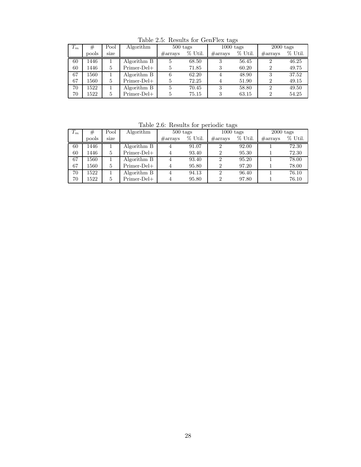Table 2.5: Results for GenFlex tags

| $T_m$ | #     | Pool | Algorithm     | $500$ tags        |           | $1000$ tags       |           | $2000$ tags       |           |
|-------|-------|------|---------------|-------------------|-----------|-------------------|-----------|-------------------|-----------|
|       | pools | size |               | $\#\text{arrays}$ | $%$ Util. | $\#\text{arrays}$ | $%$ Util. | $\#\text{arrays}$ | $%$ Util. |
| 60    | 1446  |      | Algorithm B   | 5                 | 68.50     | 3                 | 56.45     | $\overline{2}$    | 46.25     |
| 60    | 1446  | 5    | $Primer-Del+$ | 5                 | 71.85     | 3                 | 60.20     | $\overline{2}$    | 49.75     |
| 67    | 1560  |      | Algorithm B   | 6                 | 62.20     | 4                 | 48.90     | 3                 | 37.52     |
| 67    | 1560  | 5    | $Primer-Del+$ | 5                 | 72.25     | 4                 | 51.90     | $\overline{2}$    | 49.15     |
| 70    | 522   |      | Algorithm B   | 5                 | 70.45     | 3                 | 58.80     | $\overline{2}$    | 49.50     |
| 70    | 1522  | 5    | $Primer-Del+$ | 5                 | 75.15     | 3                 | 63.15     | $\overline{2}$    | 54.25     |

Table 2.6: Results for periodic tags

| $T_m$ | #     | Pool | Algorithm     | $500$ tags        |           | $1000$ tags       |           | $2000$ tags       |           |
|-------|-------|------|---------------|-------------------|-----------|-------------------|-----------|-------------------|-----------|
|       | pools | size |               | $\#\text{arrays}$ | $%$ Util. | $\#\text{arrays}$ | $%$ Util. | $\#\text{arrays}$ | $%$ Util. |
| 60    | 1446  |      | Algorithm B   | 4                 | 91.07     | 2                 | 92.00     |                   | 72.30     |
| 60    | 1446  | 5    | $Primer-Del+$ | 4                 | 93.40     | $\overline{2}$    | 95.30     |                   | 72.30     |
| 67    | 1560  |      | Algorithm B   | 4                 | 93.40     | 2                 | 95.20     |                   | 78.00     |
| 67    | 1560  | 5    | $Primer-Del+$ | 4                 | 95.80     | $\overline{2}$    | 97.20     |                   | 78.00     |
| 70    | 1522  |      | Algorithm B   | 4                 | 94.13     | $\overline{2}$    | 96.40     |                   | 76.10     |
| 70    | 1522  | 5    | $Primer-Del+$ | 4                 | 95.80     | $\overline{2}$    | 97.80     |                   | 76.10     |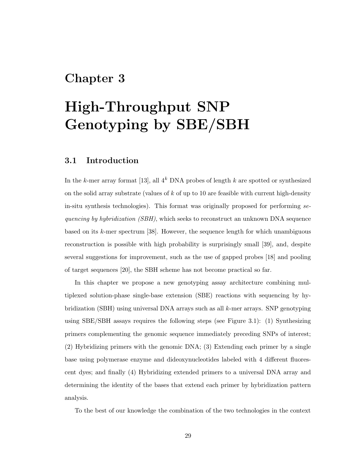### Chapter 3

# High-Throughput SNP Genotyping by SBE/SBH

### 3.1 Introduction

In the k-mer array format [13], all  $4^k$  DNA probes of length k are spotted or synthesized on the solid array substrate (values of  $k$  of up to 10 are feasible with current high-density in-situ synthesis technologies). This format was originally proposed for performing sequencing by hybridization *(SBH)*, which seeks to reconstruct an unknown DNA sequence based on its k-mer spectrum [38]. However, the sequence length for which unambiguous reconstruction is possible with high probability is surprisingly small [39], and, despite several suggestions for improvement, such as the use of gapped probes [18] and pooling of target sequences [20], the SBH scheme has not become practical so far.

In this chapter we propose a new genotyping assay architecture combining multiplexed solution-phase single-base extension (SBE) reactions with sequencing by hybridization (SBH) using universal DNA arrays such as all  $k$ -mer arrays. SNP genotyping using SBE/SBH assays requires the following steps (see Figure 3.1): (1) Synthesizing primers complementing the genomic sequence immediately preceding SNPs of interest; (2) Hybridizing primers with the genomic DNA; (3) Extending each primer by a single base using polymerase enzyme and dideoxynucleotides labeled with 4 different fluorescent dyes; and finally (4) Hybridizing extended primers to a universal DNA array and determining the identity of the bases that extend each primer by hybridization pattern analysis.

To the best of our knowledge the combination of the two technologies in the context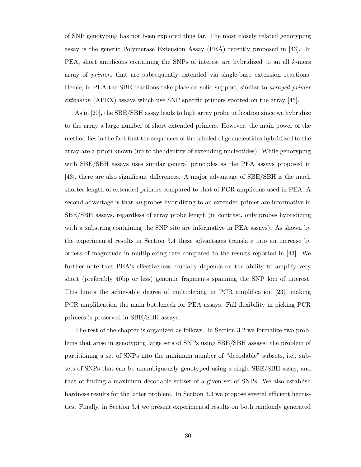of SNP genotyping has not been explored thus far. The most closely related genotyping assay is the generic Polymerase Extension Assay (PEA) recently proposed in [43]. In PEA, short amplicons containing the SNPs of interest are hybridized to an all k-mers array of primers that are subsequently extended via single-base extension reactions. Hence, in PEA the SBE reactions take place on solid support, similar to *arrayed primer* extension (APEX) assays which use SNP specific primers spotted on the array [45].

As in [20], the SBE/SBH assay leads to high array probe utilization since we hybridize to the array a large number of short extended primers. However, the main power of the method lies in the fact that the sequences of the labeled oligonucleotides hybridized to the array are a priori known (up to the identity of extending nucleotides). While genotyping with SBE/SBH assays uses similar general principles as the PEA assays proposed in [43], there are also significant differences. A major advantage of SBE/SBH is the much shorter length of extended primers compared to that of PCR amplicons used in PEA. A second advantage is that *all* probes hybridizing to an extended primer are informative in SBE/SBH assays, regardless of array probe length (in contrast, only probes hybridizing with a substring containing the SNP site are informative in PEA assays). As shown by the experimental results in Section 3.4 these advantages translate into an increase by orders of magnitude in multiplexing rate compared to the results reported in [43]. We further note that PEA's effectiveness crucially depends on the ability to amplify very short (preferably 40bp or less) genomic fragments spanning the SNP loci of interest. This limits the achievable degree of multiplexing in PCR amplification [23], making PCR amplification the main bottleneck for PEA assays. Full flexibility in picking PCR primers is preserved in SBE/SBH assays.

The rest of the chapter is organized as follows. In Section 3.2 we formalize two problems that arise in genotyping large sets of SNPs using SBE/SBH assays: the problem of partitioning a set of SNPs into the minimum number of "decodable" subsets, i.e., subsets of SNPs that can be unambiguously genotyped using a single SBE/SBH assay, and that of finding a maximum decodable subset of a given set of SNPs. We also establish hardness results for the latter problem. In Section 3.3 we propose several efficient heuristics. Finally, in Section 3.4 we present experimental results on both randomly generated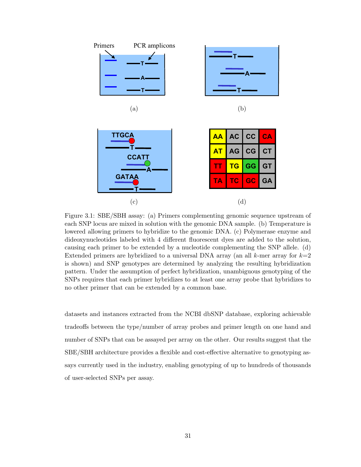

Figure 3.1: SBE/SBH assay: (a) Primers complementing genomic sequence upstream of each SNP locus are mixed in solution with the genomic DNA sample. (b) Temperature is lowered allowing primers to hybridize to the genomic DNA. (c) Polymerase enzyme and dideoxynucleotides labeled with 4 different fluorescent dyes are added to the solution, causing each primer to be extended by a nucleotide complementing the SNP allele. (d) Extended primers are hybridized to a universal DNA array (an all  $k$ -mer array for  $k=2$ is shown) and SNP genotypes are determined by analyzing the resulting hybridization pattern. Under the assumption of perfect hybridization, unambiguous genotyping of the SNPs requires that each primer hybridizes to at least one array probe that hybridizes to no other primer that can be extended by a common base.

datasets and instances extracted from the NCBI dbSNP database, exploring achievable tradeoffs between the type/number of array probes and primer length on one hand and number of SNPs that can be assayed per array on the other. Our results suggest that the SBE/SBH architecture provides a flexible and cost-effective alternative to genotyping assays currently used in the industry, enabling genotyping of up to hundreds of thousands of user-selected SNPs per assay.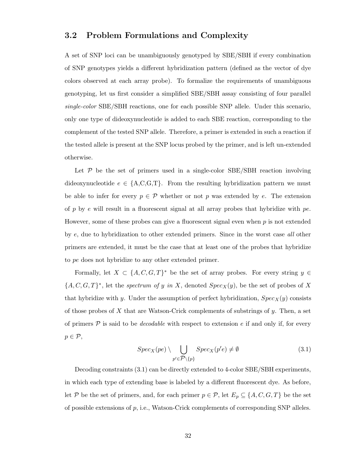### 3.2 Problem Formulations and Complexity

A set of SNP loci can be unambiguously genotyped by SBE/SBH if every combination of SNP genotypes yields a different hybridization pattern (defined as the vector of dye colors observed at each array probe). To formalize the requirements of unambiguous genotyping, let us first consider a simplified SBE/SBH assay consisting of four parallel single-color SBE/SBH reactions, one for each possible SNP allele. Under this scenario, only one type of dideoxynucleotide is added to each SBE reaction, corresponding to the complement of the tested SNP allele. Therefore, a primer is extended in such a reaction if the tested allele is present at the SNP locus probed by the primer, and is left un-extended otherwise.

Let  $P$  be the set of primers used in a single-color SBE/SBH reaction involving dideoxynucleotide  $e \in \{A, C, G, T\}$ . From the resulting hybridization pattern we must be able to infer for every  $p \in \mathcal{P}$  whether or not p was extended by e. The extension of p by e will result in a fluorescent signal at all array probes that hybridize with  $pe$ . However, some of these probes can give a fluorescent signal even when  $p$  is not extended by e, due to hybridization to other extended primers. Since in the worst case all other primers are extended, it must be the case that at least one of the probes that hybridize to pe does not hybridize to any other extended primer.

Formally, let  $X \subset \{A, C, G, T\}^*$  be the set of array probes. For every string  $y \in$  $\{A, C, G, T\}^*$ , let the *spectrum of y in X*, denoted  $Spec_X(y)$ , be the set of probes of X that hybridize with y. Under the assumption of perfect hybridization,  $Spec_X(y)$  consists of those probes of  $X$  that are Watson-Crick complements of substrings of  $y$ . Then, a set of primers  $P$  is said to be *decodable* with respect to extension e if and only if, for every  $p \in \mathcal{P},$ 

$$
Spec_X(pe) \setminus \bigcup_{p' \in \mathcal{P} \setminus \{p\}} Spec_X(p'e) \neq \emptyset
$$
\n(3.1)

Decoding constraints (3.1) can be directly extended to 4-color SBE/SBH experiments, in which each type of extending base is labeled by a different fluorescent dye. As before, let P be the set of primers, and, for each primer  $p \in \mathcal{P}$ , let  $E_p \subseteq \{A, C, G, T\}$  be the set of possible extensions of  $p$ , i.e., Watson-Crick complements of corresponding SNP alleles.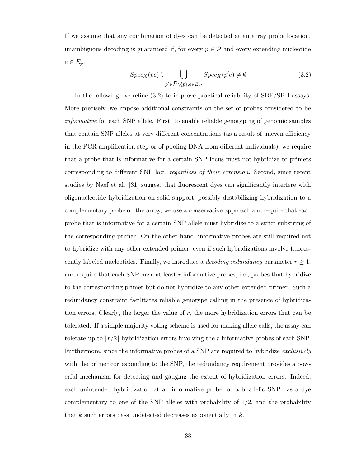If we assume that any combination of dyes can be detected at an array probe location, unambiguous decoding is guaranteed if, for every  $p \in \mathcal{P}$  and every extending nucleotide  $e \in E_p$ ,

$$
Spec_X(pe) \setminus \bigcup_{p' \in \mathcal{P} \setminus \{p\}, e \in E_{p'}} Spec_X(p'e) \neq \emptyset
$$
\n(3.2)

In the following, we refine (3.2) to improve practical reliability of SBE/SBH assays. More precisely, we impose additional constraints on the set of probes considered to be informative for each SNP allele. First, to enable reliable genotyping of genomic samples that contain SNP alleles at very different concentrations (as a result of uneven efficiency in the PCR amplification step or of pooling DNA from different individuals), we require that a probe that is informative for a certain SNP locus must not hybridize to primers corresponding to different SNP loci, regardless of their extension. Second, since recent studies by Naef et al. [31] suggest that fluorescent dyes can significantly interfere with oligonucleotide hybridization on solid support, possibly destabilizing hybridization to a complementary probe on the array, we use a conservative approach and require that each probe that is informative for a certain SNP allele must hybridize to a strict substring of the corresponding primer. On the other hand, informative probes are still required not to hybridize with any other extended primer, even if such hybridizations involve fluorescently labeled nucleotides. Finally, we introduce a *decoding redundancy* parameter  $r \geq 1$ , and require that each SNP have at least  $r$  informative probes, i.e., probes that hybridize to the corresponding primer but do not hybridize to any other extended primer. Such a redundancy constraint facilitates reliable genotype calling in the presence of hybridization errors. Clearly, the larger the value of  $r$ , the more hybridization errors that can be tolerated. If a simple majority voting scheme is used for making allele calls, the assay can tolerate up to  $\lfloor r/2 \rfloor$  hybridization errors involving the r informative probes of each SNP. Furthermore, since the informative probes of a SNP are required to hybridize exclusively with the primer corresponding to the SNP, the redundancy requirement provides a powerful mechanism for detecting and gauging the extent of hybridization errors. Indeed, each unintended hybridization at an informative probe for a bi-allelic SNP has a dye complementary to one of the SNP alleles with probability of  $1/2$ , and the probability that  $k$  such errors pass undetected decreases exponentially in  $k$ .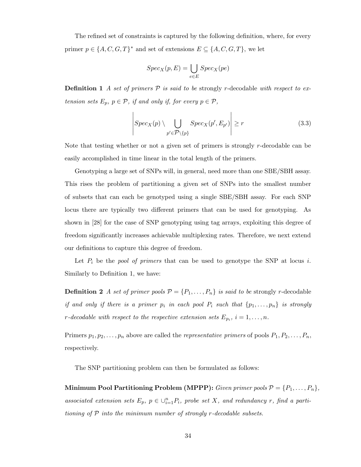The refined set of constraints is captured by the following definition, where, for every primer  $p \in \{A, C, G, T\}^*$  and set of extensions  $E \subseteq \{A, C, G, T\}$ , we let

$$
Spec_X(p, E) = \bigcup_{e \in E} Spec_X(pe)
$$

**Definition 1** A set of primers  $\mathcal P$  is said to be strongly r-decodable with respect to extension sets  $E_p$ ,  $p \in \mathcal{P}$ , if and only if, for every  $p \in \mathcal{P}$ ,

$$
\left| Spec_X(p) \setminus \bigcup_{p' \in \mathcal{P} \setminus \{p\}} Spec_X(p', E_{p'}) \right| \ge r \tag{3.3}
$$

 $\overline{1}$ 

Note that testing whether or not a given set of primers is strongly  $r$ -decodable can be easily accomplished in time linear in the total length of the primers.

Genotyping a large set of SNPs will, in general, need more than one SBE/SBH assay. This rises the problem of partitioning a given set of SNPs into the smallest number of subsets that can each be genotyped using a single SBE/SBH assay. For each SNP locus there are typically two different primers that can be used for genotyping. As shown in [28] for the case of SNP genotyping using tag arrays, exploiting this degree of freedom significantly increases achievable multiplexing rates. Therefore, we next extend our definitions to capture this degree of freedom.

Let  $P_i$  be the *pool of primers* that can be used to genotype the SNP at locus i. Similarly to Definition 1, we have:

**Definition 2** A set of primer pools  $P = \{P_1, \ldots, P_n\}$  is said to be strongly r-decodable if and only if there is a primer  $p_i$  in each pool  $P_i$  such that  $\{p_1, \ldots, p_n\}$  is strongly r-decodable with respect to the respective extension sets  $E_{p_i}$ ,  $i=1,\ldots,n$ .

Primers  $p_1, p_2, \ldots, p_n$  above are called the *representative primers* of pools  $P_1, P_2, \ldots, P_n$ , respectively.

The SNP partitioning problem can then be formulated as follows:

Minimum Pool Partitioning Problem (MPPP): Given primer pools  $P = \{P_1, \ldots, P_n\}$ , associated extension sets  $E_p$ ,  $p \in \bigcup_{i=1}^n P_i$ , probe set X, and redundancy r, find a partitioning of  $P$  into the minimum number of strongly r-decodable subsets.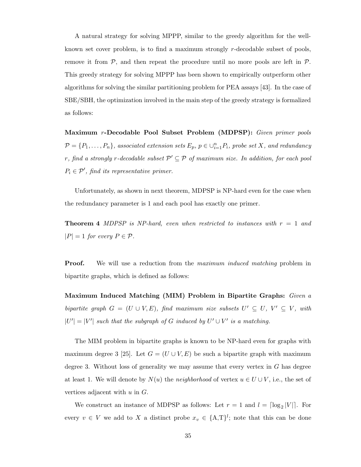A natural strategy for solving MPPP, similar to the greedy algorithm for the wellknown set cover problem, is to find a maximum strongly r-decodable subset of pools, remove it from  $P$ , and then repeat the procedure until no more pools are left in  $P$ . This greedy strategy for solving MPPP has been shown to empirically outperform other algorithms for solving the similar partitioning problem for PEA assays [43]. In the case of SBE/SBH, the optimization involved in the main step of the greedy strategy is formalized as follows:

Maximum r-Decodable Pool Subset Problem (MDPSP): Given primer pools  $P = \{P_1, \ldots, P_n\}$ , associated extension sets  $E_p$ ,  $p \in \bigcup_{i=1}^n P_i$ , probe set X, and redundancy r, find a strongly r-decodable subset  $\mathcal{P}' \subseteq \mathcal{P}$  of maximum size. In addition, for each pool  $P_i \in \mathcal{P}'$ , find its representative primer.

Unfortunately, as shown in next theorem, MDPSP is NP-hard even for the case when the redundancy parameter is 1 and each pool has exactly one primer.

**Theorem 4** MDPSP is NP-hard, even when restricted to instances with  $r = 1$  and  $|P| = 1$  for every  $P \in \mathcal{P}$ .

**Proof.** We will use a reduction from the *maximum induced matching* problem in bipartite graphs, which is defined as follows:

Maximum Induced Matching (MIM) Problem in Bipartite Graphs: Given a bipartite graph  $G = (U \cup V, E)$ , find maximum size subsets  $U' \subseteq U$ ,  $V' \subseteq V$ , with  $|U'| = |V'|$  such that the subgraph of G induced by  $U' \cup V'$  is a matching.

The MIM problem in bipartite graphs is known to be NP-hard even for graphs with maximum degree 3 [25]. Let  $G = (U \cup V, E)$  be such a bipartite graph with maximum degree 3. Without loss of generality we may assume that every vertex in  $G$  has degree at least 1. We will denote by  $N(u)$  the neighborhood of vertex  $u \in U \cup V$ , i.e., the set of vertices adjacent with  $u$  in  $G$ .

We construct an instance of MDPSP as follows: Let  $r = 1$  and  $l = \lceil \log_2 |V| \rceil$ . For every  $v \in V$  we add to X a distinct probe  $x_v \in \{A,T\}^l$ ; note that this can be done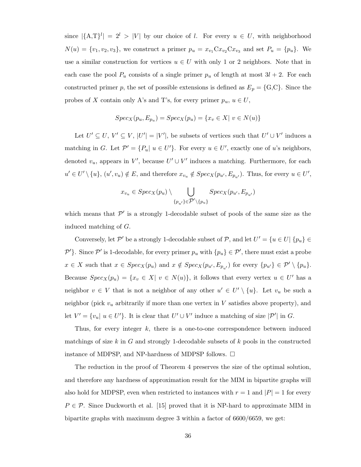since  $|\{\mathbf{A},\mathbf{T}\}^l| = 2^l > |V|$  by our choice of l. For every  $u \in U$ , with neighborhood  $N(u) = \{v_1, v_2, v_3\}$ , we construct a primer  $p_u = x_{v_1} C x_{v_2} C x_{v_3}$  and set  $P_u = \{p_u\}$ . We use a similar construction for vertices  $u \in U$  with only 1 or 2 neighbors. Note that in each case the pool  $P_u$  consists of a single primer  $p_u$  of length at most  $3l + 2$ . For each constructed primer p, the set of possible extensions is defined as  $E_p = \{G, C\}$ . Since the probes of X contain only A's and T's, for every primer  $p_u, u \in U$ ,

$$
Spec_X(p_u, E_{p_u}) = Spec_X(p_u) = \{x_v \in X | v \in N(u)\}
$$

Let  $U' \subseteq U$ ,  $V' \subseteq V$ ,  $|U'| = |V'|$ , be subsets of vertices such that  $U' \cup V'$  induces a matching in G. Let  $\mathcal{P}' = \{P_u | u \in U'\}$ . For every  $u \in U'$ , exactly one of u's neighbors, denoted  $v_u$ , appears in V', because  $U' \cup V'$  induces a matching. Furthermore, for each  $u' \in U' \setminus \{u\}, (u', v_u) \notin E$ , and therefore  $x_{v_u} \notin Spec_X(p_{u'}, E_{p_{u'}})$ . Thus, for every  $u \in U'$ ,

$$
x_{v_u} \in Spec_X(p_u) \setminus \bigcup_{\{p_{u'}\} \in \mathcal{P}' \setminus \{p_u\}} Spec_X(p_{u'}, E_{p_{u'}})
$$

which means that  $\mathcal{P}'$  is a strongly 1-decodable subset of pools of the same size as the induced matching of G.

Conversely, let  $\mathcal{P}'$  be a strongly 1-decodable subset of  $\mathcal{P}$ , and let  $U' = \{u \in U | \{p_u\} \in \mathcal{P}\}$  $\mathcal{P}'$ }. Since  $\mathcal{P}'$  is 1-decodable, for every primer  $p_u$  with  $\{p_u\} \in \mathcal{P}'$ , there must exist a probe  $x \in X$  such that  $x \in Spec_X(p_u)$  and  $x \notin Spec_X(p_{u'}, E_{p_{u'}})$  for every  $\{p_{u'}\} \in \mathcal{P}' \setminus \{p_u\}.$ Because  $Spec_X(p_u) = \{x_v \in X | v \in N(u)\},\$ it follows that every vertex  $u \in U'$  has a neighbor  $v \in V$  that is not a neighbor of any other  $u' \in U' \setminus \{u\}$ . Let  $v_u$  be such a neighbor (pick  $v_u$  arbitrarily if more than one vertex in V satisfies above property), and let  $V' = \{v_u | u \in U'\}$ . It is clear that  $U' \cup V'$  induce a matching of size  $|\mathcal{P}'|$  in G.

Thus, for every integer  $k$ , there is a one-to-one correspondence between induced matchings of size k in G and strongly 1-decodable subsets of k pools in the constructed instance of MDPSP, and NP-hardness of MDPSP follows.  $\Box$ 

The reduction in the proof of Theorem 4 preserves the size of the optimal solution, and therefore any hardness of approximation result for the MIM in bipartite graphs will also hold for MDPSP, even when restricted to instances with  $r = 1$  and  $|P| = 1$  for every  $P \in \mathcal{P}$ . Since Duckworth et al. [15] proved that it is NP-hard to approximate MIM in bipartite graphs with maximum degree 3 within a factor of 6600/6659, we get: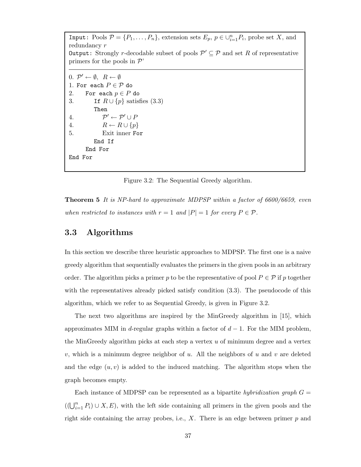Input: Pools  $P = \{P_1, \ldots, P_n\}$ , extension sets  $E_p, p \in \bigcup_{i=1}^n P_i$ , probe set X, and redundancy r **Output:** Strongly *r*-decodable subset of pools  $\mathcal{P}' \subseteq \mathcal{P}$  and set R of representative primers for the pools in  $\mathcal{P}'$  $0. \mathcal{P}' \leftarrow \emptyset, \ R \leftarrow \emptyset$ 1. For each  $P \in \mathcal{P}$  do<br>2. For each  $p \in P$ 2. For each  $p \in P$  do<br>3. If  $R \cup \{p\}$  satis: If  $R \cup \{p\}$  satisfies (3.3) Then 4. P  $\gamma' \leftarrow \mathcal{P}' \cup \mathcal{P}$ 4.  $R \leftarrow R \cup \{p\}$ <br>5. Exit inner Fo 5. Exit inner For End If End For End For

Figure 3.2: The Sequential Greedy algorithm.

**Theorem 5** It is NP-hard to approximate MDPSP within a factor of 6600/6659, even when restricted to instances with  $r = 1$  and  $|P| = 1$  for every  $P \in \mathcal{P}$ .

### 3.3 Algorithms

In this section we describe three heuristic approaches to MDPSP. The first one is a naive greedy algorithm that sequentially evaluates the primers in the given pools in an arbitrary order. The algorithm picks a primer p to be the representative of pool  $P \in \mathcal{P}$  if p together with the representatives already picked satisfy condition  $(3.3)$ . The pseudocode of this algorithm, which we refer to as Sequential Greedy, is given in Figure 3.2.

The next two algorithms are inspired by the MinGreedy algorithm in [15], which approximates MIM in d-regular graphs within a factor of  $d-1$ . For the MIM problem, the MinGreedy algorithm picks at each step a vertex  $u$  of minimum degree and a vertex v, which is a minimum degree neighbor of u. All the neighbors of u and v are deleted and the edge  $(u, v)$  is added to the induced matching. The algorithm stops when the graph becomes empty.

Each instance of MDPSP can be represented as a bipartite hybridization graph  $G =$  $((\bigcup_{i=1}^n P_i) \cup X, E)$ , with the left side containing all primers in the given pools and the right side containing the array probes, i.e.,  $X$ . There is an edge between primer  $p$  and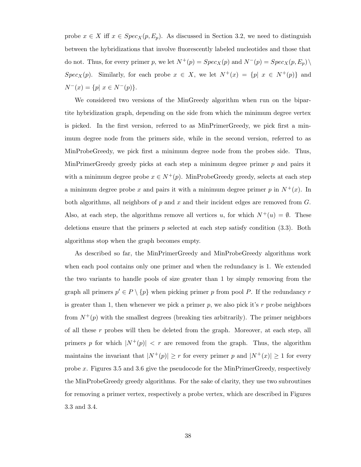probe  $x \in X$  iff  $x \in Spec_X(p, E_p)$ . As discussed in Section 3.2, we need to distinguish between the hybridizations that involve fluorescently labeled nucleotides and those that do not. Thus, for every primer p, we let  $N^+(p) = Spec_X(p)$  and  $N^-(p) = Spec_X(p, E_p)\setminus$  $Spec_X(p)$ . Similarly, for each probe  $x \in X$ , we let  $N^+(x) = \{p | x \in N^+(p)\}$  and  $N^-(x) = \{p | x \in N^-(p)\}.$ 

We considered two versions of the MinGreedy algorithm when run on the bipartite hybridization graph, depending on the side from which the minimum degree vertex is picked. In the first version, referred to as MinPrimerGreedy, we pick first a minimum degree node from the primers side, while in the second version, referred to as MinProbeGreedy, we pick first a minimum degree node from the probes side. Thus, MinPrimerGreedy greedy picks at each step a minimum degree primer p and pairs it with a minimum degree probe  $x \in N^+(p)$ . MinProbeGreedy greedy, selects at each step a minimum degree probe x and pairs it with a minimum degree primer p in  $N^+(x)$ . In both algorithms, all neighbors of p and x and their incident edges are removed from  $G$ . Also, at each step, the algorithms remove all vertices u, for which  $N^+(u) = \emptyset$ . These deletions ensure that the primers  $p$  selected at each step satisfy condition  $(3.3)$ . Both algorithms stop when the graph becomes empty.

As described so far, the MinPrimerGreedy and MinProbeGreedy algorithms work when each pool contains only one primer and when the redundancy is 1. We extended the two variants to handle pools of size greater than 1 by simply removing from the graph all primers  $p' \in P \setminus \{p\}$  when picking primer p from pool P. If the redundancy r is greater than 1, then whenever we pick a primer  $p$ , we also pick it's r probe neighbors from  $N^+(p)$  with the smallest degrees (breaking ties arbitrarily). The primer neighbors of all these  $r$  probes will then be deleted from the graph. Moreover, at each step, all primers p for which  $|N^+(p)| < r$  are removed from the graph. Thus, the algorithm maintains the invariant that  $|N^+(p)| \ge r$  for every primer p and  $|N^+(x)| \ge 1$  for every probe x. Figures 3.5 and 3.6 give the pseudocode for the MinPrimerGreedy, respectively the MinProbeGreedy greedy algorithms. For the sake of clarity, they use two subroutines for removing a primer vertex, respectively a probe vertex, which are described in Figures 3.3 and 3.4.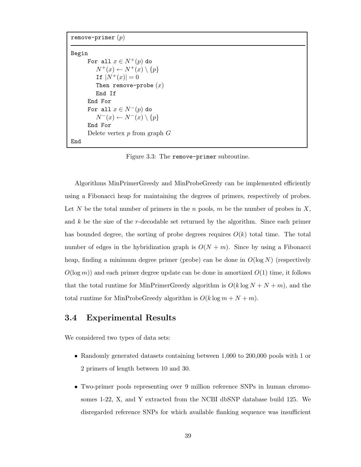```
remove-primer (p)Begin
      For all x \in N^+(p) do
          N^+(x) \leftarrow N^+(x) \setminus \{p\}If |N^+(x)| = 0Then remove-probe (x)End If
      End For
      For all x \in N^-(p) do
          N^-(x) \leftarrow N^-(x) \setminus \{p\}End For
      Delete vertex p from graph GEnd
```
Figure 3.3: The remove-primer subroutine.

Algorithms MinPrimerGreedy and MinProbeGreedy can be implemented efficiently using a Fibonacci heap for maintaining the degrees of primers, respectively of probes. Let N be the total number of primers in the n pools, m be the number of probes in  $X$ , and  $k$  be the size of the r-decodable set returned by the algorithm. Since each primer has bounded degree, the sorting of probe degrees requires  $O(k)$  total time. The total number of edges in the hybridization graph is  $O(N + m)$ . Since by using a Fibonacci heap, finding a minimum degree primer (probe) can be done in  $O(\log N)$  (respectively  $O(\log m)$  and each primer degree update can be done in amortized  $O(1)$  time, it follows that the total runtime for MinPrimerGreedy algorithm is  $O(k \log N + N + m)$ , and the total runtime for MinProbeGreedy algorithm is  $O(k \log m + N + m)$ .

### 3.4 Experimental Results

We considered two types of data sets:

- Randomly generated datasets containing between 1,000 to 200,000 pools with 1 or 2 primers of length between 10 and 30.
- Two-primer pools representing over 9 million reference SNPs in human chromosomes 1-22, X, and Y extracted from the NCBI dbSNP database build 125. We disregarded reference SNPs for which available flanking sequence was insufficient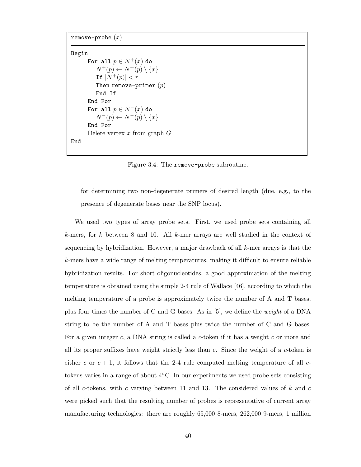```
remove-probe (x)
```

```
Begin
      For all p \in N^+(x) do
          N^+(p) \leftarrow N^+(p) \setminus \{x\}If |N^+(p)| < rThen remove-primer (p)End If
      End For
      For all p \in N^-(x) do
          N^-(p) \leftarrow N^-(p) \setminus \{x\}End For
      Delete vertex x from graph GEnd
```
Figure 3.4: The remove-probe subroutine.

for determining two non-degenerate primers of desired length (due, e.g., to the presence of degenerate bases near the SNP locus).

We used two types of array probe sets. First, we used probe sets containing all k-mers, for k between 8 and 10. All k-mer arrays are well studied in the context of sequencing by hybridization. However, a major drawback of all  $k$ -mer arrays is that the k-mers have a wide range of melting temperatures, making it difficult to ensure reliable hybridization results. For short oligonucleotides, a good approximation of the melting temperature is obtained using the simple 2-4 rule of Wallace [46], according to which the melting temperature of a probe is approximately twice the number of A and T bases, plus four times the number of C and G bases. As in [5], we define the weight of a DNA string to be the number of A and T bases plus twice the number of C and G bases. For a given integer c, a DNA string is called a c-token if it has a weight c or more and all its proper suffixes have weight strictly less than  $c$ . Since the weight of a  $c$ -token is either c or  $c + 1$ , it follows that the 2-4 rule computed melting temperature of all ctokens varies in a range of about 4 ◦C. In our experiments we used probe sets consisting of all c-tokens, with c varying between 11 and 13. The considered values of  $k$  and  $c$ were picked such that the resulting number of probes is representative of current array manufacturing technologies: there are roughly 65,000 8-mers, 262,000 9-mers, 1 million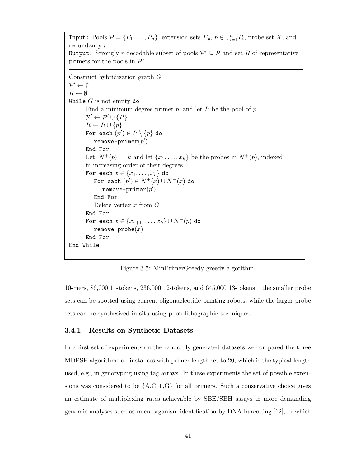Input: Pools  $P = \{P_1, \ldots, P_n\}$ , extension sets  $E_p, p \in \bigcup_{i=1}^n P_i$ , probe set X, and redundancy r **Output:** Strongly *r*-decodable subset of pools  $\mathcal{P}' \subseteq \mathcal{P}$  and set R of representative primers for the pools in  $\mathcal{P}'$ Construct hybridization graph G  $\mathcal{P}' \leftarrow \emptyset$  $R \leftarrow \emptyset$ While  $G$  is not empty do Find a minimum degree primer  $p$ , and let  $P$  be the pool of  $p$  $\mathcal{P}' \leftarrow \mathcal{P}' \cup \{P\}$  $R \leftarrow R \cup \{p\}$ For each  $(p')\in P\setminus\{p\}$  do  $\texttt{remove-primer}(p')$ End For Let  $|N^+(p)| = k$  and let  $\{x_1, \ldots, x_k\}$  be the probes in  $N^+(p)$ , indexed in increasing order of their degrees For each  $x \in \{x_1, \ldots, x_r\}$  do For each  $(p') \in N^+(x) \cup N^-(x)$  do remove-primer $(p^{\prime})$ End For Delete vertex  $x$  from  $G$ End For For each  $x \in \{x_{r+1}, \ldots, x_k\} \cup N^-(p)$  do  $remove-probe(x)$ End For End While

Figure 3.5: MinPrimerGreedy greedy algorithm.

10-mers, 86,000 11-tokens, 236,000 12-tokens, and 645,000 13-tokens – the smaller probe sets can be spotted using current oligonucleotide printing robots, while the larger probe sets can be synthesized in situ using photolithographic techniques.

### 3.4.1 Results on Synthetic Datasets

In a first set of experiments on the randomly generated datasets we compared the three MDPSP algorithms on instances with primer length set to 20, which is the typical length used, e.g., in genotyping using tag arrays. In these experiments the set of possible extensions was considered to be  ${A, C, T, G}$  for all primers. Such a conservative choice gives an estimate of multiplexing rates achievable by SBE/SBH assays in more demanding genomic analyses such as microorganism identification by DNA barcoding [12], in which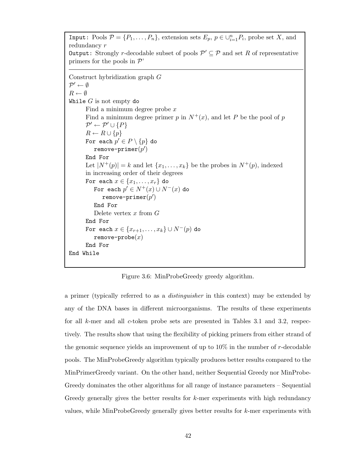Input: Pools  $P = \{P_1, \ldots, P_n\}$ , extension sets  $E_p, p \in \bigcup_{i=1}^n P_i$ , probe set X, and redundancy r **Output:** Strongly *r*-decodable subset of pools  $\mathcal{P}' \subseteq \mathcal{P}$  and set R of representative primers for the pools in  $\mathcal{P}'$ Construct hybridization graph G  $\mathcal{P}' \leftarrow \emptyset$  $R \leftarrow \emptyset$ While  $G$  is not empty do Find a minimum degree probe x Find a minimum degree primer p in  $N^+(x)$ , and let P be the pool of p  $\mathcal{P}' \leftarrow \mathcal{P}' \cup \{P\}$  $R \leftarrow R \cup \{p\}$ For each  $p' \in P \setminus \{p\}$  do  $\texttt{remove-primer}(p')$ End For Let  $|N^+(p)| = k$  and let  $\{x_1, \ldots, x_k\}$  be the probes in  $N^+(p)$ , indexed in increasing order of their degrees For each  $x \in \{x_1, \ldots, x_r\}$  do For each  $p'\in N^+(x)\cup N^-(x)$  do remove-primer $(p^{\prime})$ End For Delete vertex  $x$  from  $G$ End For For each  $x \in \{x_{r+1}, \ldots, x_k\} \cup N^-(p)$  do remove-probe $(x)$ End For End While

Figure 3.6: MinProbeGreedy greedy algorithm.

a primer (typically referred to as a distinguisher in this context) may be extended by any of the DNA bases in different microorganisms. The results of these experiments for all  $k$ -mer and all c-token probe sets are presented in Tables 3.1 and 3.2, respectively. The results show that using the flexibility of picking primers from either strand of the genomic sequence yields an improvement of up to  $10\%$  in the number of r-decodable pools. The MinProbeGreedy algorithm typically produces better results compared to the MinPrimerGreedy variant. On the other hand, neither Sequential Greedy nor MinProbe-Greedy dominates the other algorithms for all range of instance parameters – Sequential Greedy generally gives the better results for k-mer experiments with high redundancy values, while MinProbeGreedy generally gives better results for  $k$ -mer experiments with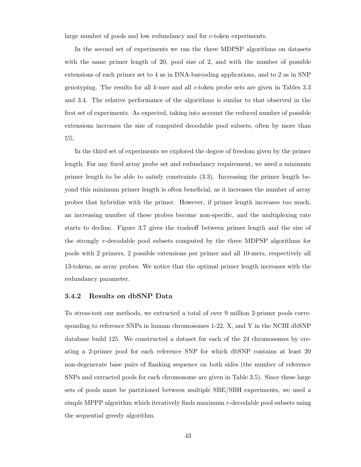large number of pools and low redundancy and for c-token experiments.

In the second set of experiments we ran the three MDPSP algorithms on datasets with the same primer length of 20, pool size of 2, and with the number of possible extensions of each primer set to 4 as in DNA-barcoding applications, and to 2 as in SNP genotyping. The results for all  $k$ -mer and all  $c$ -token probe sets are given in Tables 3.3 and 3.4. The relative performance of the algorithms is similar to that observed in the first set of experiments. As expected, taking into account the reduced number of possible extensions increases the size of computed decodable pool subsets, often by more than 5%.

In the third set of experiments we explored the degree of freedom given by the primer length. For any fixed array probe set and redundancy requirement, we need a minimum primer length to be able to satisfy constraints (3.3). Increasing the primer length beyond this minimum primer length is often beneficial, as it increases the number of array probes that hybridize with the primer. However, if primer length increases too much, an increasing number of these probes become non-specific, and the multiplexing rate starts to decline. Figure 3.7 gives the tradeoff between primer length and the size of the strongly r-decodable pool subsets computed by the three MDPSP algorithms for pools with 2 primers, 2 possible extensions per primer and all 10-mers, respectively all 13-tokens, as array probes. We notice that the optimal primer length increases with the redundancy parameter.

### 3.4.2 Results on dbSNP Data

To stress-test our methods, we extracted a total of over 9 million 2-primer pools corresponding to reference SNPs in human chromosomes 1-22, X, and Y in the NCBI dbSNP database build 125. We constructed a dataset for each of the 24 chromosomes by creating a 2-primer pool for each reference SNP for which dbSNP contains at least 20 non-degenerate base pairs of flanking sequence on both sides (the number of reference SNPs and extracted pools for each chromosome are given in Table 3.5). Since these large sets of pools must be partitioned between multiple SBE/SBH experiments, we used a simple MPPP algorithm which iteratively finds maximum r-decodable pool subsets using the sequential greedy algorithm.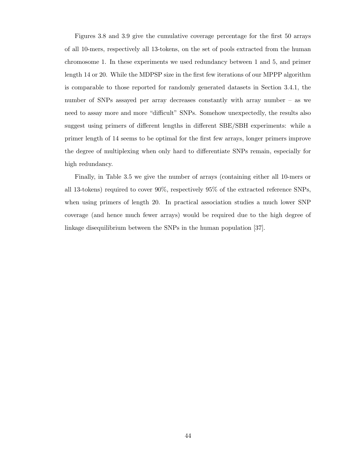Figures 3.8 and 3.9 give the cumulative coverage percentage for the first 50 arrays of all 10-mers, respectively all 13-tokens, on the set of pools extracted from the human chromosome 1. In these experiments we used redundancy between 1 and 5, and primer length 14 or 20. While the MDPSP size in the first few iterations of our MPPP algorithm is comparable to those reported for randomly generated datasets in Section 3.4.1, the number of SNPs assayed per array decreases constantly with array number – as we need to assay more and more "difficult" SNPs. Somehow unexpectedly, the results also suggest using primers of different lengths in different SBE/SBH experiments: while a primer length of 14 seems to be optimal for the first few arrays, longer primers improve the degree of multiplexing when only hard to differentiate SNPs remain, especially for high redundancy.

Finally, in Table 3.5 we give the number of arrays (containing either all 10-mers or all 13-tokens) required to cover 90%, respectively 95% of the extracted reference SNPs, when using primers of length 20. In practical association studies a much lower SNP coverage (and hence much fewer arrays) would be required due to the high degree of linkage disequilibrium between the SNPs in the human population [37].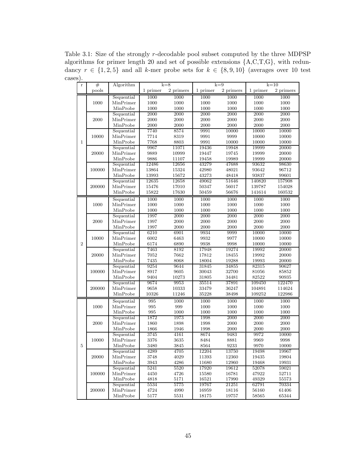Table 3.1: Size of the strongly r-decodable pool subset computed by the three MDPSP algorithms for primer length 20 and set of possible extensions {A,C,T,G}, with redundancy  $r \in \{1, 2, 5\}$  and all k-mer probe sets for  $k \in \{8, 9, 10\}$  (averages over 10 test cases).

| $\bf r$      | #              | Algorithm               |               | $k=8$          |                                                                                                                                                                                                                              | $k=9$     | $k=10$           |                  |  |  |
|--------------|----------------|-------------------------|---------------|----------------|------------------------------------------------------------------------------------------------------------------------------------------------------------------------------------------------------------------------------|-----------|------------------|------------------|--|--|
|              | pools          |                         | 1 primer      | 2 primers      | 1 primer                                                                                                                                                                                                                     | 2 primers | 1 primer         | 2 primers        |  |  |
|              |                | Sequential              | 1000          | 1000           | 1000                                                                                                                                                                                                                         | 1000      | 1000             | 1000             |  |  |
|              | 1000           | MinPrimer               | 1000          | 1000           | 1000                                                                                                                                                                                                                         | 1000      | 1000             | 1000             |  |  |
|              |                | MinProbe                | 1000          | 1000           | 1000                                                                                                                                                                                                                         | 1000      | 1000             | 1000             |  |  |
|              |                | Sequential              | 2000          | 2000           | 2000                                                                                                                                                                                                                         | 2000      | 2000             | 2000             |  |  |
|              | 2000           | MinPrimer               | $2000\,$      | 2000           | 2000                                                                                                                                                                                                                         | 2000      | 2000             | 2000             |  |  |
|              |                | MinProbe                | 2000          | 2000           | 2000                                                                                                                                                                                                                         | 2000      | 2000             | $2000\,$         |  |  |
|              |                | Sequential              | 7740          | 8574           | 9991                                                                                                                                                                                                                         | 10000     | 10000            | 10000            |  |  |
|              | 10000          | MinPrimer               | 7714          | 8319           | 9991                                                                                                                                                                                                                         | 9999      | 10000            | 10000            |  |  |
| $\mathbf{1}$ |                | MinProbe                | 7768          | 8803           | 9991                                                                                                                                                                                                                         | 10000     | 10000            | 10000            |  |  |
|              |                | Sequential              | 9967          | 11071          | 19436                                                                                                                                                                                                                        | 19948     | 19999            | 20000            |  |  |
|              | 20000          | MinPrimer               | 9889          | 10999          | 19447                                                                                                                                                                                                                        | 19745     | 19999            | 20000            |  |  |
|              |                | MinProbe                | 9886          | 11107          | 19458                                                                                                                                                                                                                        | 19989     | 19999            | 20000            |  |  |
|              |                | Sequential              | 12486         | 12656          | 43279                                                                                                                                                                                                                        | 47688     | 93632            | 98630            |  |  |
|              | 100000         | MinPrimer               | 13864         | 15324          | 42980                                                                                                                                                                                                                        | 48021     | 93642            | 96712            |  |  |
|              |                | MinProbe                | 13993         | 15672          | 43273                                                                                                                                                                                                                        | 48418     | 93837            | 99601            |  |  |
|              |                | Sequential              | 12635         | 12658          | 49062                                                                                                                                                                                                                        | 51646     | 140820           | 157908           |  |  |
|              | 200000         | MinPrimer               | 15476         | 17010          | 50347                                                                                                                                                                                                                        | 56017     | 139787           | 154028           |  |  |
|              |                | MinProbe                | 15822         | 17630          | 50459                                                                                                                                                                                                                        | 56676     | 141614           | 160532           |  |  |
|              |                | Sequential              | 1000          | 1000           | 1000                                                                                                                                                                                                                         | 1000      | 1000             | 1000             |  |  |
|              | 1000           | MinPrimer               | 1000          | 1000           | 1000                                                                                                                                                                                                                         | 1000      | 1000             | 1000             |  |  |
|              |                | MinProbe                | 1000          | 1000           | 1000                                                                                                                                                                                                                         | 1000      | 1000             | 1000             |  |  |
|              | 2000           | Sequential              | 1997          | 2000           | 2000                                                                                                                                                                                                                         | 2000      | 2000             | 2000             |  |  |
|              |                | MinPrimer               | 1997          | 2000           | 2000                                                                                                                                                                                                                         | 2000      | 2000             | 2000             |  |  |
|              |                | MinProbe                | 1997          | 2000           | 2000                                                                                                                                                                                                                         | 2000      | 2000             | 2000             |  |  |
|              | 10000<br>20000 | Sequential              | 6210          | 6901           | 9934                                                                                                                                                                                                                         | 9999      | 10000            | 10000            |  |  |
|              |                | MinPrimer               | 6002          | 6463           | 9932                                                                                                                                                                                                                         | 9977      | 10000            | 10000            |  |  |
| $\sqrt{2}$   |                | MinProbe                | 6174          | 6890           | 9938                                                                                                                                                                                                                         | 9998      | 10000            | 10000            |  |  |
|              |                | Sequential              | 7463          | 8192           | 17948                                                                                                                                                                                                                        | 19274     | 19992            | 20000            |  |  |
|              |                | MinPrimer               | 7052          | 7662           | 17812                                                                                                                                                                                                                        | 18455     | 19992            | 20000            |  |  |
|              |                | MinProbe                | 7435          | 8068           | 18004                                                                                                                                                                                                                        | 19288     | 19993            | 20000            |  |  |
|              |                | Sequential              | 9254          | 9644           | 31845                                                                                                                                                                                                                        | 34855     | 82315            | 90627            |  |  |
|              | 100000         | MinPrimer               | 8917          | 9605           | 30043                                                                                                                                                                                                                        | 32700     | 81056            | 85852            |  |  |
|              |                | MinProbe                | 9404          | 10273          | 31805                                                                                                                                                                                                                        | 34481     | 82522            | 90935            |  |  |
|              |                | Sequential              | 9674          | 9953           |                                                                                                                                                                                                                              |           | 109450           | 122470           |  |  |
|              | 200000         | MinPrimer<br>MinProbe   | 9658<br>10326 | 10333<br>11246 |                                                                                                                                                                                                                              |           | 104891<br>109252 | 114624<br>122986 |  |  |
|              |                |                         |               |                |                                                                                                                                                                                                                              |           |                  |                  |  |  |
|              |                | Sequential              | 995           | 1000           |                                                                                                                                                                                                                              |           | 1000             | 1000             |  |  |
|              | 1000           | MinPrimer               | 995           | 999            |                                                                                                                                                                                                                              |           | 1000             | 1000             |  |  |
|              |                | MinProbe                | 995<br>1872   | 1000<br>1973   |                                                                                                                                                                                                                              |           | 1000<br>2000     | 1000<br>2000     |  |  |
|              | 2000           | Sequential<br>MinPrimer | 1860          | 1898           |                                                                                                                                                                                                                              |           | 2000             | $2000\,$         |  |  |
|              |                | MinProbe                | 1866          | 1946           |                                                                                                                                                                                                                              |           | 2000             | 2000             |  |  |
|              |                | Sequential              | 3745          | 4161           |                                                                                                                                                                                                                              |           | 9972             | 10000            |  |  |
|              | 10000          | MinPrimer               | 3376          | 3635           |                                                                                                                                                                                                                              |           | 9969             | 9998             |  |  |
| 5            |                | MinProbe                | 3480          | 3845           | 37891<br>35514<br>33479<br>36247<br>35228<br>$38498\,$<br>1000<br>1000<br>1000<br>1000<br>$1000\,$<br>1000<br>1998<br>2000<br>1998<br>2000<br>1998<br>2000<br>8674<br>9483<br>8484<br>8881<br>9233<br>8564<br>12204<br>13750 |           | 9970             | 10000            |  |  |
|              |                | Sequential              | 4289          | 4705           |                                                                                                                                                                                                                              |           | 19498            | 19967            |  |  |
|              | 20000          | MinPrimer               | 3748          | 4029           | 11393                                                                                                                                                                                                                        | 12360     | 19435            | 19804            |  |  |
|              |                | MinProbe                | 3943          | 4286           | 11680                                                                                                                                                                                                                        | 12960     | 19468            | 19931            |  |  |
|              |                | Sequential              | 5241          | 5520           | 17920                                                                                                                                                                                                                        | 19612     | 52078            | 59021            |  |  |
|              | 100000         | MinPrimer               | 4450          | 4726           | 15580                                                                                                                                                                                                                        | 16781     | 47922            | 52711            |  |  |
|              |                | MinProbe                | 4818          | 5171           | 16521                                                                                                                                                                                                                        | 17990     | 49329            | 55573            |  |  |
|              |                | Sequential              | 5534          | 5775           | 19767                                                                                                                                                                                                                        | 21251     | 62791            | 70334            |  |  |
|              | 200000         | MinPrimer               | 4724          | 4990           | 16959                                                                                                                                                                                                                        | 18116     | 56160            | 61406            |  |  |
|              |                | MinProbe                | 5177          | 5531           | 18175                                                                                                                                                                                                                        | 19757     | 58565            | 65344            |  |  |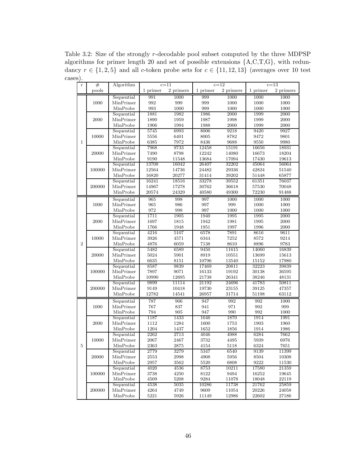Table 3.2: Size of the strongly r-decodable pool subset computed by the three MDPSP algorithms for primer length 20 and set of possible extensions {A,C,T,G}, with redundancy  $r \in \{1, 2, 5\}$  and all c-token probe sets for  $c \in \{11, 12, 13\}$  (averages over 10 test cases).

| $\mathbf r$  | #      | $c = 11$<br>Algorithm |                    |           |          | $c=12$    | $c=13$             |           |  |  |
|--------------|--------|-----------------------|--------------------|-----------|----------|-----------|--------------------|-----------|--|--|
| pools        |        |                       | 1 primer           | 2 primers | 1 primer | 2 primers | 1 primer           | 2 primers |  |  |
|              |        | Sequential            | 991                | 1000      | 999      | 1000      | 1000               | 1000      |  |  |
|              | 1000   | MinPrimer             | $\boldsymbol{992}$ | 999       | 999      | 1000      | 1000               | 1000      |  |  |
|              |        | MinProbe              | 993                | 1000      | 999      | 1000      | 1000               | 1000      |  |  |
|              |        |                       | 1881               |           |          | 2000      | 1999               | 2000      |  |  |
|              | 2000   | Sequential            |                    | 1982      | 1986     |           |                    |           |  |  |
|              |        | MinPrimer             | 1890               | 1959      | 1987     | 1998      | 1999               | 2000      |  |  |
|              |        | MinProbe              | 1906               | 1994      | 1988     | $2000\,$  | 1999               | $2000\,$  |  |  |
|              |        | Sequential            | 5745               | 6993      | 8006     | 9218      | 9420               | 9927      |  |  |
|              | 10000  | MinPrimer             | 5556               | 6401      | 8005     | 8782      | 9472               | 9801      |  |  |
| $\mathbf{1}$ |        | MinProbe              | 6385               | 7972      | 8436     | 9688      | 9550               | 9980      |  |  |
|              |        | Sequential            | 7968               | 9733      | 12458    | 15191     | 16656              | 18931     |  |  |
|              | 20000  | MinPrimer             | 7490               | 8798      | 12242    | 14080     | 16673              | 18204     |  |  |
|              |        | MinProbe              | 9190               | 11548     | 13684    | 17094     | 17430              | 19613     |  |  |
|              |        | Sequential            | 13708              | 16042     | 26407    | 32202     | 45064              | 56064     |  |  |
|              | 100000 | MinPrimer             | 12564              | 14736     | 24482    | 29336     | 42824              | 51540     |  |  |
|              |        | MinProbe              | 16820              | 20277     | 31414    | 39202     | 51448              | 65877     |  |  |
|              |        | Sequential            | 16241              | 18516     | 33278    | 39552     | 61351              | 76037     |  |  |
|              | 200000 | MinPrimer             | 14967              | 17278     | 30762    | 36618     | 57530              | 70048     |  |  |
|              |        | MinProbe              | 20574              | 24329     | 40580    | 49300     | 72230              | 91488     |  |  |
|              |        | Sequential            | 965                | 998       | 997      | 1000      | 1000               | 1000      |  |  |
|              | 1000   | MinPrimer             | $965\,$            | 986       | 997      | 999       | 1000               | 1000      |  |  |
|              |        | MinProbe              | 972                | 998       | 997      | 1000      | 1000               | 1000      |  |  |
|              |        | Sequential            | 1711               | 1905      | 1940     | 1995      | 1995               | 2000      |  |  |
|              | 2000   | MinPrimer             | 1697               | 1815      | 1942     | 1981      | 1995               | 2000      |  |  |
|              |        | MinProbe              | 1766               | 1948      | 1951     | 1997      | 1996               | 2000      |  |  |
|              | 10000  | Sequential            | 4216               | 5107      | 6578     | 7891      | 8616               | 9611      |  |  |
|              |        | MinPrimer             | 3926               | 4571      | 6344     | 7252      | 8572               | 9214      |  |  |
| $\sqrt{2}$   |        | MinProbe              | 4876               | 6059      | 7138     | 8610      | 8896               | 9783      |  |  |
|              |        | Sequential            | 5482               | 6589      | 9450     | 11615     | 14060              | 16839     |  |  |
|              | 20000  | MinPrimer             | 5024               | 5901      | 8919     | 10551     | 13699              | 15613     |  |  |
|              |        | MinProbe              | 6635               | 8151      | 10796    | 13540     |                    | 17980     |  |  |
|              |        |                       |                    |           |          |           | 15152              |           |  |  |
|              |        | Sequential            | 8587               | 9839      | 17469    | 20811     | 32223              | 39839     |  |  |
|              | 100000 | MinPrimer             | 7897               | 9071      | 16133    | 19192     | 30138              | 36595     |  |  |
|              |        | MinProbe              | 10990              | 12695     | 21738    | 26341     | 38246              | 48131     |  |  |
|              |        | Sequential            | 9899               | 11114     | 21192    | 24696     | 41783              | 50811     |  |  |
|              | 200000 | MinPrimer             | 9149               | 10418     | 19730    | 23155     | 39125              | 47357     |  |  |
|              |        | MinProbe              | 12782              | 14541     | 26957    | 31714     | 51198              | 63112     |  |  |
|              |        | Sequential            | 787                | 906       | 947      | 992       | 992                | 1000      |  |  |
|              | 1000   | MinPrimer             | 767                | 837       | 941      | 971       | 992                | 999       |  |  |
|              |        | MinProbe              | 794                | 905       | 947      | 990       | $\boldsymbol{992}$ | $1000\,$  |  |  |
|              |        | Sequential            | 1187               | 1433      | 1646     | 1870      | 1914               | 1991      |  |  |
|              | 2000   | MinPrimer             | 1112               | 1284      | 1600     | 1753      | $1903\,$           | 1960      |  |  |
|              |        | MinProbe              | 1204               | 1437      | 1652     | 1856      | 1914               | 1986      |  |  |
|              |        | Sequential            | 2262               | 2713      | 4046     | 4988      | 6284               | 7662      |  |  |
|              | 10000  | MinPrimer             | 2067               | 2467      | 3732     | 4495      | 5939               | 6976      |  |  |
| 5            |        | MinProbe              | 2363               | 2875      | 4154     | 5118      | 6324               | 7651      |  |  |
|              |        | Sequential            | 2779               | 3279      | 5347     | 6540      | 9139               | 11399     |  |  |
|              | 20000  | MinPrimer             | 2553               | 2998      | 4908     | 5956      | 8504               | 10308     |  |  |
|              |        | MinProbe              | 2957               | 3562      | 5520     | 6808      | 9222               | 11530     |  |  |
|              |        | Sequential            | 4020               | 4536      | 8753     | 10211     | 17580              | 21359     |  |  |
|              | 100000 | MinPrimer             | 3738               | 4250      | 8122     | 9494      | 16252              | 19645     |  |  |
|              |        | MinProbe              | 4509               | 5208      | 9284     | 11078     | 18048              | 22119     |  |  |
|              |        | Sequential            | 4538               | 5035      | 10286    | 11738     | 21762              | 25859     |  |  |
|              | 200000 | MinPrimer             | 4264               | 4749      | 9609     | 11054     | 20226              | 24058     |  |  |
|              |        | MinProbe              | 5221               | 5926      | 11149    | 12986     | 22602              | 27186     |  |  |
|              |        |                       |                    |           |          |           |                    |           |  |  |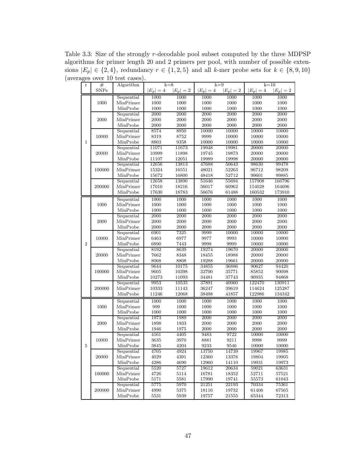Table 3.3: Size of the strongly  $r$ -decodable pool subset computed by the three MDPSP algorithms for primer length 20 and 2 primers per pool, with number of possible extensions  $|E_p| \in \{2, 4\}$ , redundancy  $r \in \{1, 2, 5\}$  and all k-mer probe sets for  $k \in \{8, 9, 10\}$ (averages over 10 test cases).

| $\bf r$      | #           | Algorithm               | $k=8$        |              |                | $k=9$          | $k=10$         |                |  |  |
|--------------|-------------|-------------------------|--------------|--------------|----------------|----------------|----------------|----------------|--|--|
|              | <b>SNPs</b> |                         | $ E_p =4$    | $ E_p =2$    | $ E_p =4$      | $ E_p =2$      | $ E_p =4$      | $ E_p =2$      |  |  |
|              | 1000        | Sequential              | 1000         | 1000         | 1000           | 1000           | 1000           | 1000           |  |  |
|              |             | MinPrimer               | 1000         | 1000         | 1000           | 1000           | 1000           | 1000           |  |  |
|              |             | MinProbe                | 1000         | 1000         | 1000           | 1000           | 1000           | 1000           |  |  |
|              |             | Sequential              | 2000         | 2000         | 2000           | 2000           | 2000           | 2000           |  |  |
|              | 2000        | MinPrimer               | 2000         | 2000         | 2000           | 2000           | 2000           | 2000           |  |  |
|              |             | MinProbe                | 2000         | 2000         | 2000           | 2000           | 2000           | 2000           |  |  |
|              |             | Sequential              | 8574         | 8950         | 10000          | 10000          | 10000          | 10000          |  |  |
|              | 10000       | MinPrimer               | 8319         | 8752         | 9999           | 10000          | 10000          | 10000          |  |  |
| $\mathbf{1}$ |             | MinProbe                | 8803         | 9358         | 10000          | 10000          | 10000          | 10000          |  |  |
|              |             | Sequential              | 11071        | 11673        | 19948          | 19981          | 20000          | 20000          |  |  |
|              | 20000       | MinPrimer               | 10999        | 11898        | $19745\,$      | 19873          | 20000          | 20000          |  |  |
|              |             | MinProbe                | 11107        | 12051        | 19989          | 19998          | 20000          | $20000\,$      |  |  |
|              |             | Sequential              | 12656        | 13813        | 47688          | 50643          | 98630          | 99478          |  |  |
|              | 100000      | MinPrimer               | 15324        | 16551        | 48021          | 52263          | 96712          | 98209          |  |  |
|              |             | MinProbe                | 15672        | 16800        | 48418          | 52712          | $99601\,$      | 99885          |  |  |
|              |             | Sequential              | 12658        | 13890        | 51646          | 55694          | 157908         | 166796         |  |  |
|              | 200000      | MinPrimer               | 17010        | 18216        | 56017          | 60962          | 154028         | 164696         |  |  |
|              |             | MinProbe                | 17630        | 18783        | 56676          | 61488          | 160532         | 173910         |  |  |
|              |             | Sequential              | 1000         | 1000         | 1000           | 1000           | 1000           | 1000           |  |  |
|              | 1000        | MinPrimer               | 1000         | 1000         | 1000           | 1000           | 1000           | 1000           |  |  |
|              |             | MinProbe                | 1000         | 1000         | 1000           | 1000           | 1000           | 1000           |  |  |
|              | 2000        | Sequential              | 2000         | 2000         | 2000           | 2000           | 2000           | 2000           |  |  |
|              |             | MinPrimer               | 2000         | 2000         | 2000           | 2000           | 2000           | 2000           |  |  |
|              |             | MinProbe                | 2000         | 2000         | 2000           | 2000           | 2000           | 2000           |  |  |
|              |             | Sequential              | 6901         | 7325         | 9999           | 10000          | 10000          | 10000          |  |  |
|              | 10000       | MinPrimer               | 6463         | 6977         | 9977           | 9993           | 10000          | 10000          |  |  |
| $\,2$        |             | MinProbe                | 6890         | 7443         | 9998           | 9999           | 10000          | 10000          |  |  |
|              |             | Sequential              | 8192         | 8639         | 19274          | 19670          | 20000          | 20000          |  |  |
|              | 20000       | MinPrimer               | 7662         | 8348         | 18455          | 18988          | 20000          | 20000          |  |  |
|              |             | MinProbe                | 8068         | 8808         | 19288          | 19661          | 20000          | 20000          |  |  |
|              |             | Sequential              | 9644         | 10175        | 34855          | 36886          | 90627          | 94420          |  |  |
|              | 100000      | MinPrimer               | 9605         | 10398        | 32700          | 35771          | 85852          | 90098          |  |  |
|              |             | MinProbe                | 10273        | 11093        | 34481          | 37743          | 90935          | 94868          |  |  |
|              |             | Sequential              | 9953         | 10535        | 37891          | 40060          | 122470         | 130911         |  |  |
|              | 200000      | MinPrimer               | 10333        | 11143        | 36247          | 39619          | 114624         | 125287         |  |  |
|              |             | MinProbe                | 11246        | 12068        | 38498          | 41857          | 122986         | 134342         |  |  |
|              |             | Sequential              | 1000         | 1000         | 1000           | 1000           | 1000           | 1000           |  |  |
|              | 1000        | MinPrimer               | 999          | 1000         | 1000           | 1000           | 1000           | 1000           |  |  |
|              |             | MinProbe                | 1000         | 1000         | 1000           | 1000           | 1000           | 1000           |  |  |
|              |             | Sequential              | 1973         | 1989         | 2000           | 2000           | 2000           | 2000           |  |  |
|              | 2000        | MinPrimer               | 1898         | 1933         | 2000           | 2000           | 2000           | 2000           |  |  |
|              |             | MinProbe                | 1946         | 1975         | 2000           | 2000           | 2000           | 2000           |  |  |
|              |             | Sequential              | 4161         | 4405         | 9483           | 9722           | 10000          | 10000          |  |  |
|              | 10000       | MinPrimer               | 3635         | 3970         | 8881           | 9211           | 9998           | 9999           |  |  |
| 5            |             | MinProbe                | 3845         | 4204         | 9233           | 9546           | 10000          | 10000          |  |  |
|              |             | Sequential<br>MinPrimer | 4705         | 4924         | 13750          | 14739          | 19967          | 19985          |  |  |
|              | 20000       |                         | 4029         | 4391         | 12360          | 13378          | 19804          | 19905<br>19973 |  |  |
|              |             | MinProbe<br>Sequential  | 4286         | 4690         | 12960<br>19612 | 14110<br>20634 | 19931          |                |  |  |
|              |             | MinPrimer               | 5520<br>4726 | 5727<br>5114 | 16781          | 18352          | 59021<br>52711 | 63631<br>57521 |  |  |
|              | 100000      | MinProbe                | 5171         | 5581         | 17990          | 19741          | 55573          | 61043          |  |  |
|              |             | Sequential              | 5775         | 5970         | 21251          | 22193          | 70334          | 75361          |  |  |
|              | 200000      | MinPrimer               | 4990         | 5375         | 18116          | 19732          | 61406          | 67565          |  |  |
|              |             | MinProbe                | 5531         | 5939         | 19757          | 21555          | 65344          | 72313          |  |  |
|              |             |                         |              |              |                |                |                |                |  |  |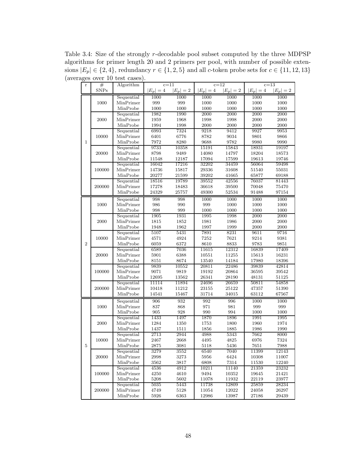Table 3.4: Size of the strongly r-decodable pool subset computed by the three MDPSP algorithms for primer length 20 and 2 primers per pool, with number of possible extensions  $|E_p| \in \{2, 4\}$ , redundancy  $r \in \{1, 2, 5\}$  and all c-token probe sets for  $c \in \{11, 12, 13\}$ (averages over 10 test cases).

| $\bf r$      | #           | Algorithm  | $c=11$    |           |           | $c = 12$  | $c=13$    |            |  |  |
|--------------|-------------|------------|-----------|-----------|-----------|-----------|-----------|------------|--|--|
|              | <b>SNPs</b> |            | $ E_p =4$ | $ E_p =2$ | $ E_p =4$ | $ E_p =2$ | $ E_p =4$ | $ E_p =2$  |  |  |
|              |             | Sequential | 1000      | 1000      | 1000      | 1000      | 1000      | 1000       |  |  |
|              | 1000        | MinPrimer  | 999       | 999       | 1000      | 1000      | 1000      | 1000       |  |  |
|              |             | MinProbe   | 1000      | 1000      | 1000      | 1000      | 1000      | 1000       |  |  |
|              |             | Sequential | 1982      | 1990      | 2000      | 2000      | 2000      | 2000       |  |  |
|              | 2000        | MinPrimer  | 1959      | 1968      | 1998      | 1998      | 2000      | 2000       |  |  |
|              |             | MinProbe   | 1994      | 1998      | 2000      | 2000      | 2000      | 2000       |  |  |
|              |             | Sequential | 6993      | 7324      | 9218      | 9412      | 9927      | 9953       |  |  |
| $\mathbf{1}$ | 10000       | MinPrimer  | 6401      | 6776      | 8782      | 9034      | 9801      | 9866       |  |  |
|              |             | MinProbe   | 7972      | 8280      | 9688      | 9782      | 9980      | 9990       |  |  |
|              |             | Sequential | 9733      | 10358     | 15191     | 15843     | 18931     | 19197      |  |  |
|              | 20000       | MinPrimer  | 8798      | 9489      | 14080     | 14797     | 18204     | 18573      |  |  |
|              |             | MinProbe   | 11548     | 12187     | 17094     | 17599     | 19613     | 19746      |  |  |
|              |             | Sequential | 16042     | 17216     | 32202     | 34459     | 56064     | 59498      |  |  |
|              | 100000      | MinPrimer  | 14736     | 15817     | 29336     | 31608     | 51540     | 55031      |  |  |
|              |             | MinProbe   | 20277     | 21599     | 39202     | 41665     | 65877     | 69188      |  |  |
|              |             | Sequential | 18516     | 19789     | 39552     | 42556     | 76037     | 81443      |  |  |
|              | 200000      | MinPrimer  | 17278     | 18483     | 36618     | 39500     | 70048     | 75470      |  |  |
|              |             | MinProbe   | 24329     | 25757     | 49300     | 52534     | 91488     | 97154      |  |  |
|              |             | Sequential | 998       | 998       | 1000      | 1000      | 1000      | 1000       |  |  |
|              | 1000        | MinPrimer  | 986       | 990       | 999       | 1000      | 1000      | 1000       |  |  |
|              |             | MinProbe   | 998       | 999       | 1000      | 1000      | 1000      | 1000       |  |  |
|              |             | Sequential | 1905      | 1931      | 1995      | 1998      | 2000      | 2000       |  |  |
|              | 2000        | MinPrimer  | 1815      | 1852      | 1981      | 1986      | 2000      | 2000       |  |  |
|              |             | MinProbe   | 1948      | 1962      | 1997      | 1999      | 2000      | $\,2000\,$ |  |  |
|              |             | Sequential | 5107      | 5431      | 7891      | 8231      | 9611      | 9716       |  |  |
| $\,2$        | 10000       | MinPrimer  | 4571      | 4924      | 7252      | 7621      | 9214      | 9381       |  |  |
|              |             | MinProbe   | 6059      | 6372      | 8610      | 8833      | 9783      | 9851       |  |  |
|              |             | Sequential | 6589      | 7036      | 11615     | 12312     | 16839     | 17409      |  |  |
|              | 20000       | MinPrimer  | 5901      | 6388      | 10551     | 11255     | 15613     | 16231      |  |  |
|              |             | MinProbe   | 8151      | 8674      | 13540     | 14184     | 17980     | 18396      |  |  |
|              |             | Sequential | 9839      | 10552     | 20811     | 22486     | 39839     | 42814      |  |  |
|              | 100000      | MinPrimer  | 9071      | 9819      | 19192     | 20864     | 36595     | 39542      |  |  |
|              |             | MinProbe   | 12695     | 13562     | 26341     | 28190     | 48131     | 51125      |  |  |
|              |             | Sequential | 11114     | 11894     | 24696     | 26659     | 50811     | 54858      |  |  |
|              | 200000      | MinPrimer  | 10418     | 11212     | 23155     | 25122     | 47357     | 51390      |  |  |
|              |             | MinProbe   | 14541     | 15467     | 31714     | 34015     | 63112     | 67567      |  |  |
|              |             | Sequential | 906       | 932       | 992       | 996       | 1000      | 1000       |  |  |
|              | 1000        | MinPrimer  | 837       | 868       | 971       | 981       | 999       | 999        |  |  |
|              |             | MinProbe   | 905       | 928       | 990       | 994       | 1000      | 1000       |  |  |
|              |             | Sequential | 1433      | 1497      | 1870      | 1896      | 1991      | 1995       |  |  |
|              | 2000        | MinPrimer  | 1284      | 1350      | 1753      | 1800      | 1960      | 1974       |  |  |
|              |             | MinProbe   | 1437      | 1511      | 1856      | 1885      | 1986      | 1990       |  |  |
|              |             | Sequential | 2713      | 2944      | 4988      | 5343      | 7662      | 8000       |  |  |
|              | 10000       | MinPrimer  | 2467      | 2668      | 4495      | 4825      | 6976      | 7324       |  |  |
| 5            |             | MinProbe   | 2875      | 3081      | 5118      | 5436      | 7651      | 7988       |  |  |
|              |             | Sequential | 3279      | 3552      | 6540      | 7040      | 11399     | 12143      |  |  |
|              | 20000       | MinPrimer  | 2998      | 3273      | 5956      | 6424      | 10308     | 11007      |  |  |
|              |             | MinProbe   | 3562      | 3817      | 6808      | 7314      | 11530     | 12240      |  |  |
|              |             | Sequential | 4536      | 4912      | 10211     | 11140     | 21359     | 23232      |  |  |
|              | 100000      | MinPrimer  | 4250      | 4610      | 9494      | 10352     | 19645     | 21421      |  |  |
|              |             | MinProbe   | 5208      | 5602      | 11078     | 11932     | 22119     | 23977      |  |  |
|              |             | Sequential | 5035      | 5443      | 11738     | 12809     | 25859     | 28234      |  |  |
|              | 200000      | MinPrimer  | 4749      | 5128      | 11054     | 12022     | 24058     | 26297      |  |  |
|              |             | MinProbe   | 5926      | 6363      | 12986     | 13987     | 27186     | 29439      |  |  |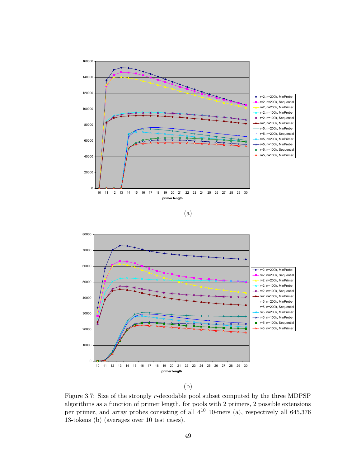



(b)

Figure 3.7: Size of the strongly r-decodable pool subset computed by the three MDPSP algorithms as a function of primer length, for pools with 2 primers, 2 possible extensions per primer, and array probes consisting of all  $4^{10}$  10-mers (a), respectively all 645,376 13-tokens (b) (averages over 10 test cases).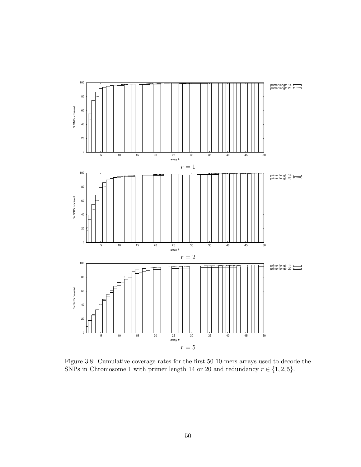

Figure 3.8: Cumulative coverage rates for the first 50 10-mers arrays used to decode the SNPs in Chromosome 1 with primer length 14 or 20 and redundancy  $r \in \{1, 2, 5\}$ .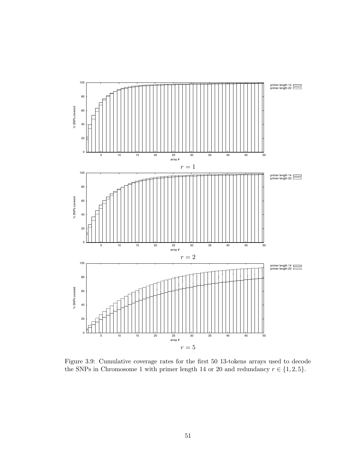

Figure 3.9: Cumulative coverage rates for the first 50 13-tokens arrays used to decode the SNPs in Chromosome 1 with primer length 14 or 20 and redundancy  $r \in \{1, 2, 5\}$ .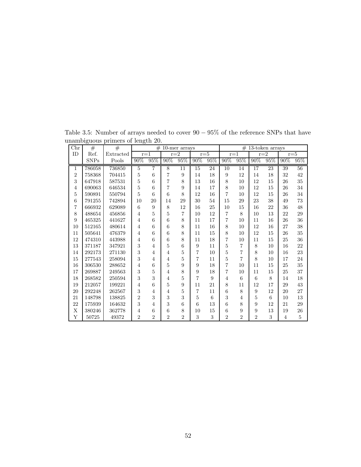| Chr            | #           | #         | #<br>10-mer arrays |                |                |                  |                |         |                |                |                | $#$ 13-token arrays |                |                |
|----------------|-------------|-----------|--------------------|----------------|----------------|------------------|----------------|---------|----------------|----------------|----------------|---------------------|----------------|----------------|
| ID             | Ref.        | Extracted |                    | $r=1$          | $r = 2$        |                  |                | $r = 5$ |                | $r=1$          |                | $r=2$               |                | $r = 5$        |
|                | <b>SNPs</b> | Pools     | 90%                | 95%            | 90%            | 95%              | 90%            | 95%     | 90%            | 95%            | 90%            | 95%                 | 90%            | 95%            |
| 1              | 786058      | 736850    | 5                  | $\overline{7}$ | 8              | 11               | 15             | 24      | 10             | 14             | 17             | 23                  | 39             | 56             |
| $\overline{2}$ | 758368      | 704415    | $\overline{5}$     | 6              | $\overline{7}$ | 9                | 14             | 18      | 9              | 12             | 14             | 18                  | 32             | 42             |
| 3              | 647918      | 587531    | $\overline{5}$     | 6              | $\overline{7}$ | 8                | 13             | 16      | 8              | 10             | 12             | 15                  | 26             | 35             |
| $\overline{4}$ | 690063      | 646534    | $\overline{5}$     | 6              | $\overline{7}$ | 9                | 14             | 17      | 8              | 10             | 12             | 15                  | 26             | 34             |
| 5              | 590891      | 550794    | $\overline{5}$     | 6              | 6              | 8                | 12             | 16      | $\overline{7}$ | 10             | 12             | 15                  | 26             | 34             |
| 6              | 791255      | 742894    | 10                 | 20             | 14             | 29               | 30             | 54      | 15             | 29             | 23             | 38                  | 49             | 73             |
| $\overline{7}$ | 666932      | 629089    | 6                  | 9              | 8              | 12               | 16             | 25      | 10             | 15             | 16             | 22                  | 36             | 48             |
| 8              | 488654      | 456856    | $\overline{4}$     | 5              | 5              | $\overline{7}$   | 10             | 12      | 7              | 8              | 10             | 13                  | 22             | 29             |
| 9              | 465325      | 441627    | $\overline{4}$     | 6              | 6              | 8                | 11             | 17      | $\overline{7}$ | 10             | 11             | 16                  | 26             | 36             |
| 10             | 512165      | 480614    | $\overline{4}$     | 6              | 6              | 8                | 11             | 16      | 8              | 10             | 12             | 16                  | 27             | 38             |
| 11             | 505641      | 476379    | $\overline{4}$     | 6              | 6              | 8                | 11             | 15      | 8              | 10             | 12             | 15                  | 26             | 35             |
| 12             | 474310      | 443988    | $\overline{4}$     | 6              | 6              | 8                | 11             | 18      | $\overline{7}$ | 10             | 11             | 15                  | 25             | 36             |
| 13             | 371187      | 347921    | 3                  | $\overline{4}$ | 5              | 6                | 9              | 11      | 5              | $\overline{7}$ | 8              | 10                  | 16             | 22             |
| 14             | 292173      | 271130    | 3                  | $\overline{4}$ | $\overline{4}$ | $\bf 5$          | $\overline{7}$ | 10      | 5              | $\overline{7}$ | 8              | 10                  | 16             | 23             |
| 15             | 277543      | 258094    | 3                  | $\overline{4}$ | $\overline{4}$ | 5                | $\overline{7}$ | 11      | 5              | $\overline{7}$ | 8              | 10                  | 17             | 24             |
| 16             | 306530      | 288652    | $\overline{4}$     | 6              | 5              | 9                | 9              | 18      | $\overline{7}$ | 10             | 11             | 15                  | 25             | 35             |
| 17             | 269887      | 249563    | 3                  | $\overline{5}$ | $\overline{4}$ | 8                | 9              | 18      | $\overline{7}$ | 10             | 11             | 15                  | 25             | 37             |
| 18             | 268582      | 250594    | 3                  | 3              | $\overline{4}$ | 5                | $\overline{7}$ | 9       | $\overline{4}$ | 6              | 6              | 8                   | 14             | 18             |
| 19             | 212057      | 199221    | $\overline{4}$     | 6              | 5              | $\boldsymbol{9}$ | 11             | 21      | 8              | 11             | 12             | 17                  | 29             | 43             |
| 20             | 292248      | 262567    | 3                  | $\overline{4}$ | $\overline{4}$ | 5                | $\overline{7}$ | 11      | 6              | 8              | 9              | 12                  | 20             | 27             |
| 21             | 148798      | 138825    | $\overline{2}$     | 3              | 3              | 3                | $\overline{5}$ | 6       | 3              | $\overline{4}$ | $\overline{5}$ | 6                   | 10             | 13             |
| 22             | 175939      | 164632    | 3                  | $\overline{4}$ | 3              | 6                | 6              | 13      | 6              | 8              | 9              | 12                  | 21             | 29             |
| Χ              | 380246      | 362778    | $\overline{4}$     | 6              | 6              | 8                | 10             | 15      | 6              | 9              | 9              | 13                  | 19             | 26             |
| Y              | 50725       | 49372     | $\overline{2}$     | $\overline{2}$ | $\overline{2}$ | $\overline{2}$   | 3              | 3       | $\overline{2}$ | $\overline{2}$ | $\overline{2}$ | 3                   | $\overline{4}$ | $\overline{5}$ |

Table 3.5: Number of arrays needed to cover 90 − 95% of the reference SNPs that have unambiguous primers of length 20.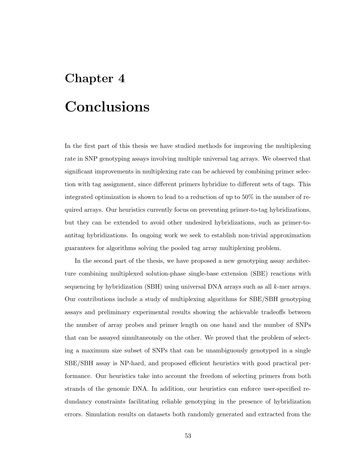# Chapter 4

## Conclusions

In the first part of this thesis we have studied methods for improving the multiplexing rate in SNP genotyping assays involving multiple universal tag arrays. We observed that significant improvements in multiplexing rate can be achieved by combining primer selection with tag assignment, since different primers hybridize to different sets of tags. This integrated optimization is shown to lead to a reduction of up to 50% in the number of required arrays. Our heuristics currently focus on preventing primer-to-tag hybridizations, but they can be extended to avoid other undesired hybridizations, such as primer-toantitag hybridizations. In ongoing work we seek to establish non-trivial approximation guarantees for algorithms solving the pooled tag array multiplexing problem.

In the second part of the thesis, we have proposed a new genotyping assay architecture combining multiplexed solution-phase single-base extension (SBE) reactions with sequencing by hybridization (SBH) using universal DNA arrays such as all k-mer arrays. Our contributions include a study of multiplexing algorithms for SBE/SBH genotyping assays and preliminary experimental results showing the achievable tradeoffs between the number of array probes and primer length on one hand and the number of SNPs that can be assayed simultaneously on the other. We proved that the problem of selecting a maximum size subset of SNPs that can be unambiguously genotyped in a single SBE/SBH assay is NP-hard, and proposed efficient heuristics with good practical performance. Our heuristics take into account the freedom of selecting primers from both strands of the genomic DNA. In addition, our heuristics can enforce user-specified redundancy constraints facilitating reliable genotyping in the presence of hybridization errors. Simulation results on datasets both randomly generated and extracted from the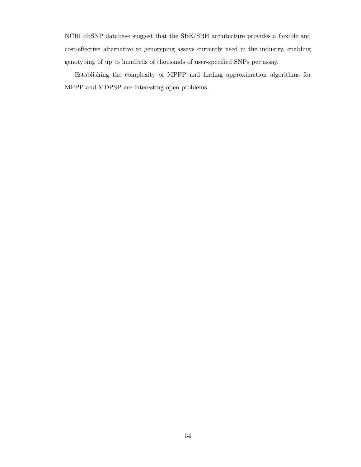NCBI dbSNP database suggest that the SBE/SBH architecture provides a flexible and cost-effective alternative to genotyping assays currently used in the industry, enabling genotyping of up to hundreds of thousands of user-specified SNPs per assay.

Establishing the complexity of MPPP and finding approximation algorithms for MPPP and MDPSP are interesting open problems.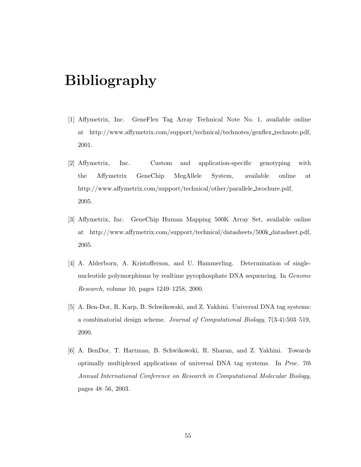## Bibliography

- [1] Affymetrix, Inc. GeneFlex Tag Array Technical Note No. 1, available online at http://www.affymetrix.com/support/technical/technotes/genflex technote.pdf, 2001.
- [2] Affymetrix, Inc. Custom and application-specific genotyping with the Affymetrix GeneChip MegAllele System, available online at http://www.affymetrix.com/support/technical/other/parallele brochure.pdf, 2005.
- [3] Affymetrix, Inc. GeneChip Human Mapping 500K Array Set, available online at http://www.affymetrix.com/support/technical/datasheets/500k datasheet.pdf, 2005.
- [4] A. Alderborn, A. Kristofferson, and U. Hammerling. Determination of singlenucleotide polymorphisms by realtime pyrophosphate DNA sequencing. In Genome Research, volume 10, pages 1249–1258, 2000.
- [5] A. Ben-Dor, R. Karp, B. Schwikowski, and Z. Yakhini. Universal DNA tag systems: a combinatorial design scheme. Journal of Computational Biology, 7(3-4):503–519, 2000.
- [6] A. BenDor, T. Hartman, B. Schwikowski, R. Sharan, and Z. Yakhini. Towards optimally multiplexed applications of universal DNA tag systems. In Proc. 7th Annual International Conference on Research in Computational Molecular Biology, pages 48–56, 2003.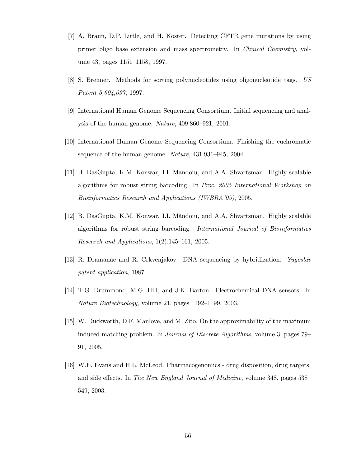- [7] A. Braun, D.P. Little, and H. Koster. Detecting CFTR gene mutations by using primer oligo base extension and mass spectrometry. In Clinical Chemistry, volume 43, pages 1151–1158, 1997.
- [8] S. Brenner. Methods for sorting polynucleotides using oligonucleotide tags. US Patent 5,604,097, 1997.
- [9] International Human Genome Sequencing Consortium. Initial sequencing and analysis of the human genome. Nature, 409:860–921, 2001.
- [10] International Human Genome Sequencing Consortium. Finishing the euchromatic sequence of the human genome. Nature, 431:931–945, 2004.
- [11] B. DasGupta, K.M. Konwar, I.I. Mandoiu, and A.A. Shvartsman. Highly scalable algorithms for robust string barcoding. In Proc. 2005 International Workshop on Bioinformatics Research and Applications (IWBRA'05), 2005.
- [12] B. DasGupta, K.M. Konwar, I.I. Măndoiu, and A.A. Shvartsman. Highly scalable algorithms for robust string barcoding. International Journal of Bioinformatics Research and Applications, 1(2):145–161, 2005.
- [13] R. Dramanac and R. Crkvenjakov. DNA sequencing by hybridization. Yugoslav patent application, 1987.
- [14] T.G. Drummond, M.G. Hill, and J.K. Barton. Electrochemical DNA sensors. In Nature Biotechnology, volume 21, pages 1192–1199, 2003.
- [15] W. Duckworth, D.F. Manlove, and M. Zito. On the approximability of the maximum induced matching problem. In Journal of Discrete Algorithms, volume 3, pages 79– 91, 2005.
- [16] W.E. Evans and H.L. McLeod. Pharmacogenomics drug disposition, drug targets, and side effects. In The New England Journal of Medicine, volume 348, pages 538– 549, 2003.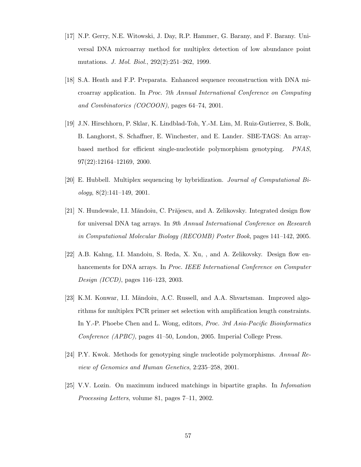- [17] N.P. Gerry, N.E. Witowski, J. Day, R.P. Hammer, G. Barany, and F. Barany. Universal DNA microarray method for multiplex detection of low abundance point mutations. J. Mol. Biol., 292(2):251–262, 1999.
- [18] S.A. Heath and F.P. Preparata. Enhanced sequence reconstruction with DNA microarray application. In Proc. 7th Annual International Conference on Computing and Combinatorics (COCOON), pages 64–74, 2001.
- [19] J.N. Hirschhorn, P. Sklar, K. Lindblad-Toh, Y.-M. Lim, M. Ruiz-Gutierrez, S. Bolk, B. Langhorst, S. Schaffner, E. Winchester, and E. Lander. SBE-TAGS: An arraybased method for efficient single-nucleotide polymorphism genotyping. PNAS, 97(22):12164–12169, 2000.
- [20] E. Hubbell. Multiplex sequencing by hybridization. Journal of Computational Bi $ology, 8(2):141–149, 2001.$
- [21] N. Hundewale, I.I. Măndoiu, C. Prăjescu, and A. Zelikovsky. Integrated design flow for universal DNA tag arrays. In 9th Annual International Conference on Research in Computational Molecular Biology (RECOMB) Poster Book, pages 141–142, 2005.
- [22] A.B. Kahng, I.I. Mandoiu, S. Reda, X. Xu, , and A. Zelikovsky. Design flow enhancements for DNA arrays. In Proc. IEEE International Conference on Computer Design (ICCD), pages 116–123, 2003.
- [23] K.M. Konwar, I.I. Măndoiu, A.C. Russell, and A.A. Shvartsman. Improved algorithms for multiplex PCR primer set selection with amplification length constraints. In Y.-P. Phoebe Chen and L. Wong, editors, Proc. 3rd Asia-Pacific Bioinformatics Conference (APBC), pages 41–50, London, 2005. Imperial College Press.
- [24] P.Y. Kwok. Methods for genotyping single nucleotide polymorphisms. Annual Review of Genomics and Human Genetics, 2:235–258, 2001.
- [25] V.V. Lozin. On maximum induced matchings in bipartite graphs. In Infomation Processing Letters, volume 81, pages 7–11, 2002.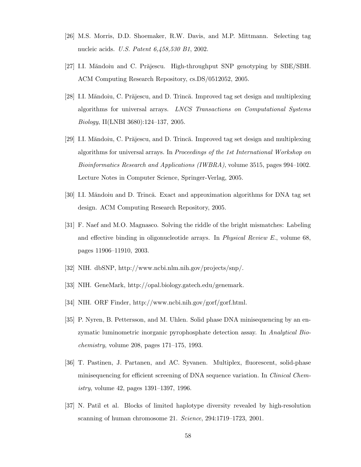- [26] M.S. Morris, D.D. Shoemaker, R.W. Davis, and M.P. Mittmann. Selecting tag nucleic acids. U.S. Patent 6,458,530 B1, 2002.
- [27] I.I. Măndoiu and C. Prăjescu. High-throughput SNP genotyping by SBE/SBH. ACM Computing Research Repository, cs.DS/0512052, 2005.
- [28] I.I. Măndoiu, C. Prăjescu, and D. Trincă. Improved tag set design and multiplexing algorithms for universal arrays. LNCS Transactions on Computational Systems Biology, II(LNBI 3680):124–137, 2005.
- [29] I.I. Măndoiu, C. Prăjescu, and D. Trincă. Improved tag set design and multiplexing algorithms for universal arrays. In Proceedings of the 1st International Workshop on Bioinformatics Research and Applications (IWBRA), volume 3515, pages 994–1002. Lecture Notes in Computer Science, Springer-Verlag, 2005.
- [30] I.I. Măndoiu and D. Trincă. Exact and approximation algorithms for DNA tag set design. ACM Computing Research Repository, 2005.
- [31] F. Naef and M.O. Magnasco. Solving the riddle of the bright mismatches: Labeling and effective binding in oligonucleotide arrays. In Physical Review E., volume 68, pages 11906–11910, 2003.
- [32] NIH. dbSNP, http://www.ncbi.nlm.nih.gov/projects/snp/.
- [33] NIH. GeneMark, http://opal.biology.gatech.edu/genemark.
- [34] NIH. ORF Finder, http://www.ncbi.nih.gov/gorf/gorf.html.
- [35] P. Nyren, B. Pettersson, and M. Uhlen. Solid phase DNA minisequencing by an enzymatic luminometric inorganic pyrophosphate detection assay. In Analytical Biochemistry, volume 208, pages 171–175, 1993.
- [36] T. Pastinen, J. Partanen, and AC. Syvanen. Multiplex, fluorescent, solid-phase minisequencing for efficient screening of DNA sequence variation. In *Clinical Chem*istry, volume 42, pages 1391–1397, 1996.
- [37] N. Patil et al. Blocks of limited haplotype diversity revealed by high-resolution scanning of human chromosome 21. Science, 294:1719–1723, 2001.